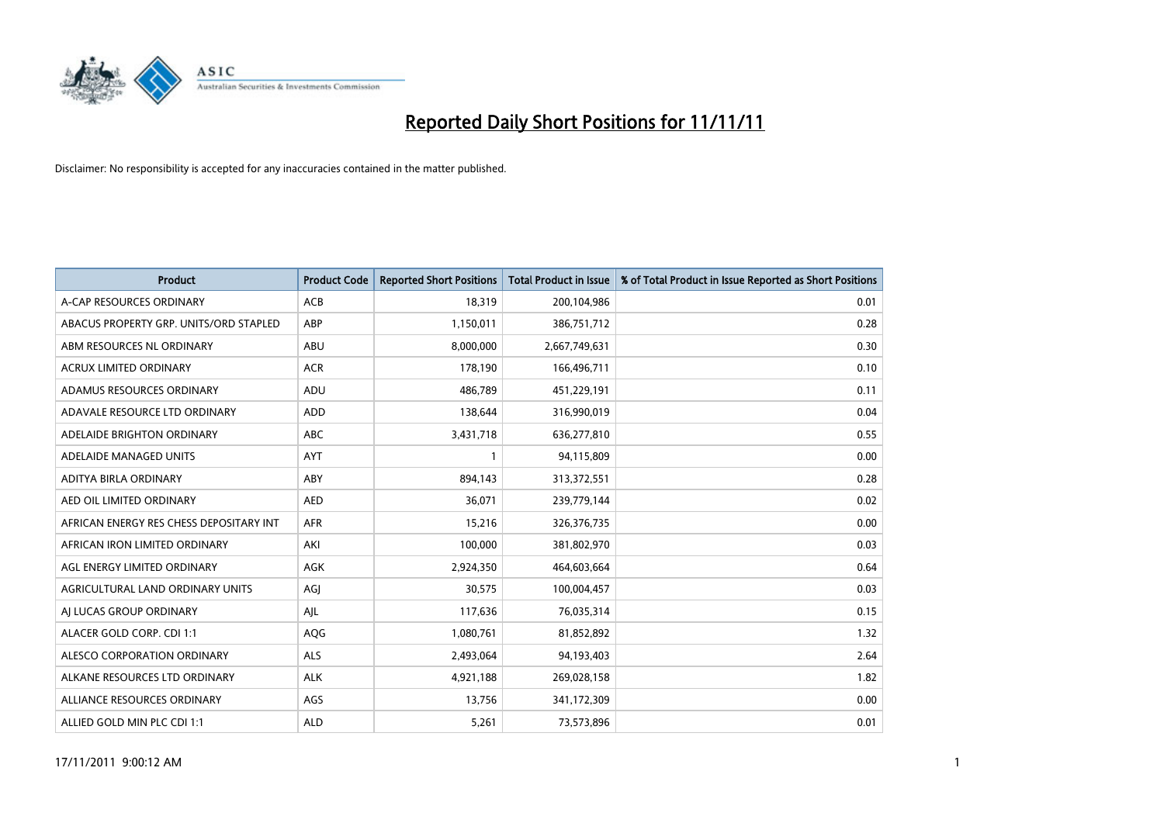

| <b>Product</b>                          | <b>Product Code</b> | <b>Reported Short Positions</b> | Total Product in Issue | % of Total Product in Issue Reported as Short Positions |
|-----------------------------------------|---------------------|---------------------------------|------------------------|---------------------------------------------------------|
| A-CAP RESOURCES ORDINARY                | <b>ACB</b>          | 18.319                          | 200,104,986            | 0.01                                                    |
| ABACUS PROPERTY GRP. UNITS/ORD STAPLED  | ABP                 | 1,150,011                       | 386,751,712            | 0.28                                                    |
| ABM RESOURCES NL ORDINARY               | <b>ABU</b>          | 8,000,000                       | 2,667,749,631          | 0.30                                                    |
| <b>ACRUX LIMITED ORDINARY</b>           | <b>ACR</b>          | 178,190                         | 166,496,711            | 0.10                                                    |
| ADAMUS RESOURCES ORDINARY               | <b>ADU</b>          | 486,789                         | 451,229,191            | 0.11                                                    |
| ADAVALE RESOURCE LTD ORDINARY           | <b>ADD</b>          | 138,644                         | 316,990,019            | 0.04                                                    |
| ADELAIDE BRIGHTON ORDINARY              | <b>ABC</b>          | 3,431,718                       | 636,277,810            | 0.55                                                    |
| ADELAIDE MANAGED UNITS                  | <b>AYT</b>          | 1                               | 94,115,809             | 0.00                                                    |
| ADITYA BIRLA ORDINARY                   | ABY                 | 894,143                         | 313,372,551            | 0.28                                                    |
| AED OIL LIMITED ORDINARY                | <b>AED</b>          | 36,071                          | 239,779,144            | 0.02                                                    |
| AFRICAN ENERGY RES CHESS DEPOSITARY INT | <b>AFR</b>          | 15,216                          | 326,376,735            | 0.00                                                    |
| AFRICAN IRON LIMITED ORDINARY           | AKI                 | 100,000                         | 381,802,970            | 0.03                                                    |
| AGL ENERGY LIMITED ORDINARY             | <b>AGK</b>          | 2,924,350                       | 464,603,664            | 0.64                                                    |
| AGRICULTURAL LAND ORDINARY UNITS        | AGJ                 | 30,575                          | 100,004,457            | 0.03                                                    |
| AI LUCAS GROUP ORDINARY                 | AJL                 | 117,636                         | 76,035,314             | 0.15                                                    |
| ALACER GOLD CORP. CDI 1:1               | AQG                 | 1,080,761                       | 81,852,892             | 1.32                                                    |
| ALESCO CORPORATION ORDINARY             | ALS                 | 2,493,064                       | 94,193,403             | 2.64                                                    |
| ALKANE RESOURCES LTD ORDINARY           | <b>ALK</b>          | 4,921,188                       | 269,028,158            | 1.82                                                    |
| ALLIANCE RESOURCES ORDINARY             | AGS                 | 13,756                          | 341,172,309            | 0.00                                                    |
| ALLIED GOLD MIN PLC CDI 1:1             | <b>ALD</b>          | 5,261                           | 73,573,896             | 0.01                                                    |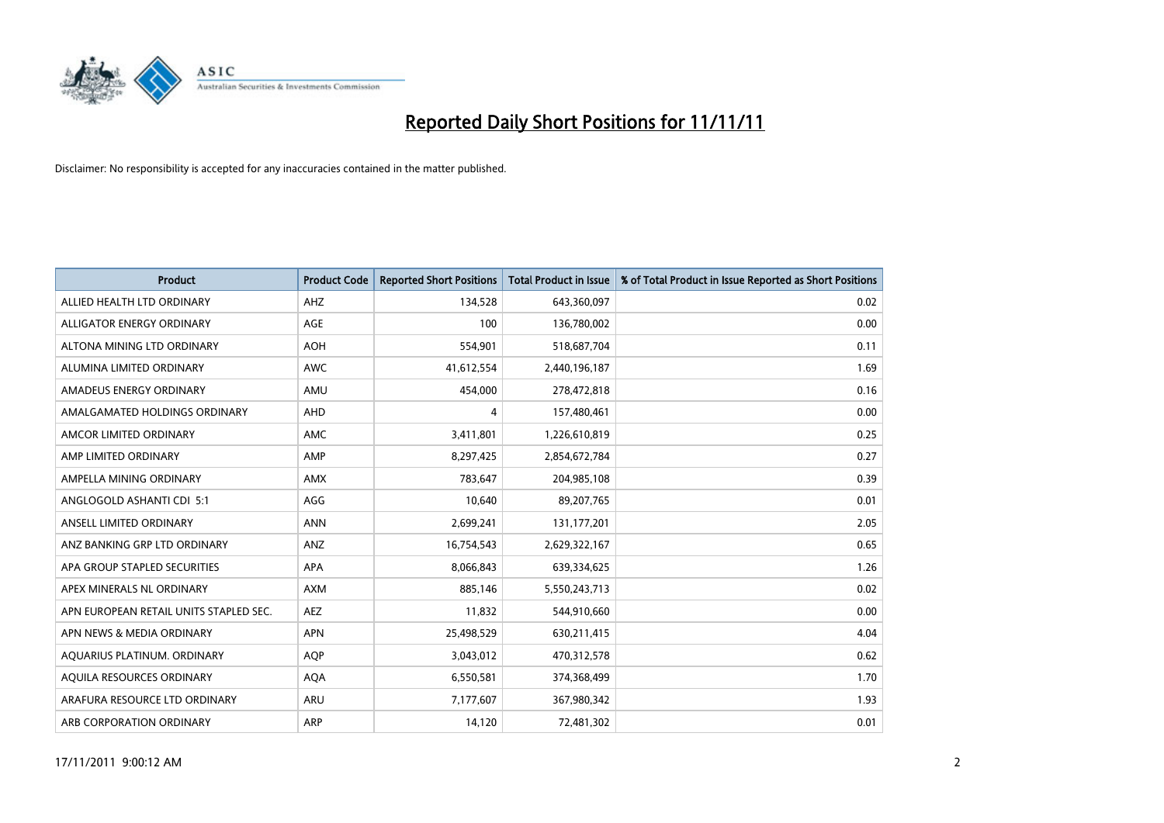

| <b>Product</b>                         | <b>Product Code</b> | <b>Reported Short Positions</b> | Total Product in Issue | % of Total Product in Issue Reported as Short Positions |
|----------------------------------------|---------------------|---------------------------------|------------------------|---------------------------------------------------------|
| ALLIED HEALTH LTD ORDINARY             | AHZ                 | 134,528                         | 643,360,097            | 0.02                                                    |
| ALLIGATOR ENERGY ORDINARY              | AGE                 | 100                             | 136,780,002            | 0.00                                                    |
| ALTONA MINING LTD ORDINARY             | <b>AOH</b>          | 554,901                         | 518,687,704            | 0.11                                                    |
| ALUMINA LIMITED ORDINARY               | <b>AWC</b>          | 41,612,554                      | 2,440,196,187          | 1.69                                                    |
| AMADEUS ENERGY ORDINARY                | AMU                 | 454.000                         | 278,472,818            | 0.16                                                    |
| AMALGAMATED HOLDINGS ORDINARY          | AHD                 | 4                               | 157,480,461            | 0.00                                                    |
| AMCOR LIMITED ORDINARY                 | <b>AMC</b>          | 3,411,801                       | 1,226,610,819          | 0.25                                                    |
| AMP LIMITED ORDINARY                   | AMP                 | 8,297,425                       | 2,854,672,784          | 0.27                                                    |
| AMPELLA MINING ORDINARY                | <b>AMX</b>          | 783,647                         | 204,985,108            | 0.39                                                    |
| ANGLOGOLD ASHANTI CDI 5:1              | AGG                 | 10,640                          | 89,207,765             | 0.01                                                    |
| ANSELL LIMITED ORDINARY                | <b>ANN</b>          | 2,699,241                       | 131, 177, 201          | 2.05                                                    |
| ANZ BANKING GRP LTD ORDINARY           | ANZ                 | 16,754,543                      | 2,629,322,167          | 0.65                                                    |
| APA GROUP STAPLED SECURITIES           | <b>APA</b>          | 8,066,843                       | 639,334,625            | 1.26                                                    |
| APEX MINERALS NL ORDINARY              | <b>AXM</b>          | 885,146                         | 5,550,243,713          | 0.02                                                    |
| APN EUROPEAN RETAIL UNITS STAPLED SEC. | AEZ                 | 11,832                          | 544,910,660            | 0.00                                                    |
| APN NEWS & MEDIA ORDINARY              | <b>APN</b>          | 25,498,529                      | 630,211,415            | 4.04                                                    |
| AQUARIUS PLATINUM. ORDINARY            | <b>AOP</b>          | 3,043,012                       | 470,312,578            | 0.62                                                    |
| AQUILA RESOURCES ORDINARY              | <b>AQA</b>          | 6,550,581                       | 374,368,499            | 1.70                                                    |
| ARAFURA RESOURCE LTD ORDINARY          | ARU                 | 7,177,607                       | 367,980,342            | 1.93                                                    |
| ARB CORPORATION ORDINARY               | ARP                 | 14.120                          | 72,481,302             | 0.01                                                    |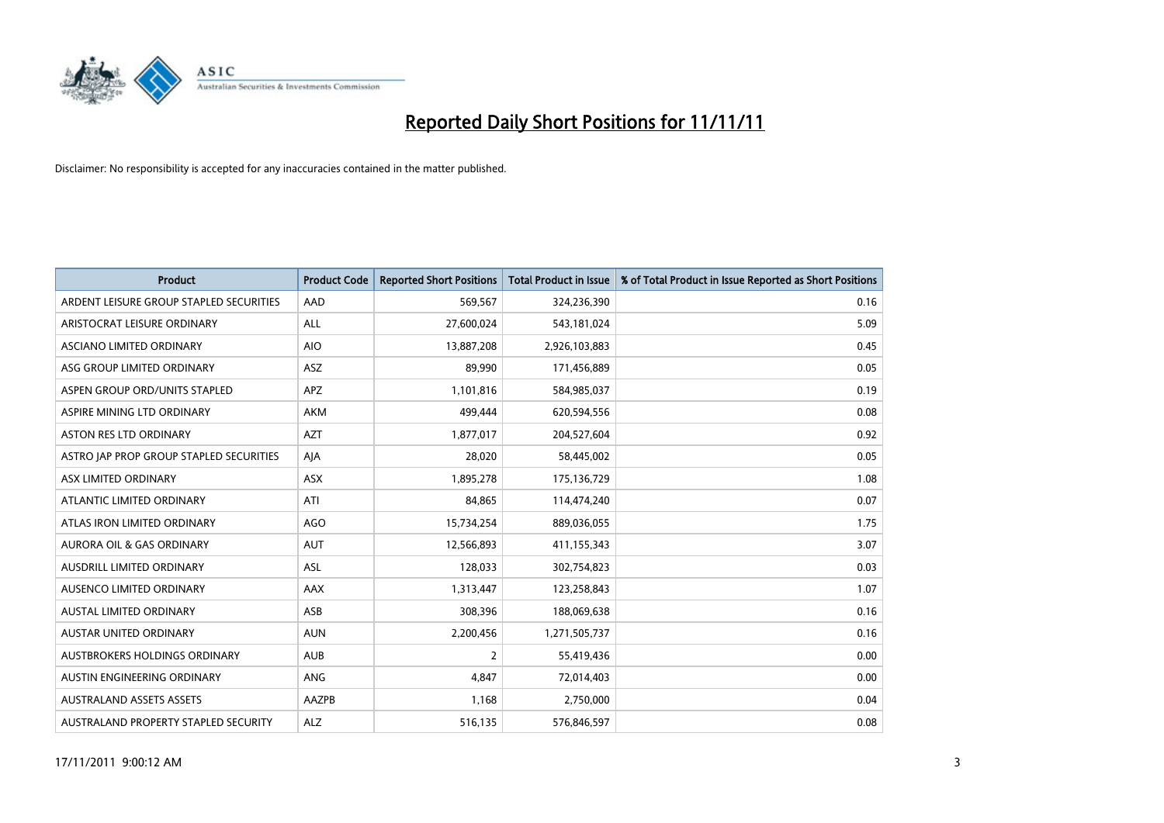

| <b>Product</b>                          | <b>Product Code</b> | <b>Reported Short Positions</b> | <b>Total Product in Issue</b> | % of Total Product in Issue Reported as Short Positions |
|-----------------------------------------|---------------------|---------------------------------|-------------------------------|---------------------------------------------------------|
| ARDENT LEISURE GROUP STAPLED SECURITIES | AAD                 | 569,567                         | 324,236,390                   | 0.16                                                    |
| ARISTOCRAT LEISURE ORDINARY             | <b>ALL</b>          | 27,600,024                      | 543,181,024                   | 5.09                                                    |
| <b>ASCIANO LIMITED ORDINARY</b>         | <b>AIO</b>          | 13,887,208                      | 2,926,103,883                 | 0.45                                                    |
| ASG GROUP LIMITED ORDINARY              | <b>ASZ</b>          | 89,990                          | 171,456,889                   | 0.05                                                    |
| ASPEN GROUP ORD/UNITS STAPLED           | <b>APZ</b>          | 1,101,816                       | 584,985,037                   | 0.19                                                    |
| ASPIRE MINING LTD ORDINARY              | <b>AKM</b>          | 499,444                         | 620,594,556                   | 0.08                                                    |
| ASTON RES LTD ORDINARY                  | AZT                 | 1,877,017                       | 204,527,604                   | 0.92                                                    |
| ASTRO JAP PROP GROUP STAPLED SECURITIES | AJA                 | 28,020                          | 58,445,002                    | 0.05                                                    |
| ASX LIMITED ORDINARY                    | <b>ASX</b>          | 1,895,278                       | 175,136,729                   | 1.08                                                    |
| ATLANTIC LIMITED ORDINARY               | ATI                 | 84,865                          | 114,474,240                   | 0.07                                                    |
| ATLAS IRON LIMITED ORDINARY             | <b>AGO</b>          | 15,734,254                      | 889,036,055                   | 1.75                                                    |
| <b>AURORA OIL &amp; GAS ORDINARY</b>    | <b>AUT</b>          | 12,566,893                      | 411,155,343                   | 3.07                                                    |
| AUSDRILL LIMITED ORDINARY               | ASL                 | 128,033                         | 302,754,823                   | 0.03                                                    |
| AUSENCO LIMITED ORDINARY                | <b>AAX</b>          | 1,313,447                       | 123,258,843                   | 1.07                                                    |
| <b>AUSTAL LIMITED ORDINARY</b>          | ASB                 | 308,396                         | 188,069,638                   | 0.16                                                    |
| AUSTAR UNITED ORDINARY                  | <b>AUN</b>          | 2,200,456                       | 1,271,505,737                 | 0.16                                                    |
| AUSTBROKERS HOLDINGS ORDINARY           | <b>AUB</b>          | $\overline{2}$                  | 55,419,436                    | 0.00                                                    |
| AUSTIN ENGINEERING ORDINARY             | ANG                 | 4,847                           | 72,014,403                    | 0.00                                                    |
| <b>AUSTRALAND ASSETS ASSETS</b>         | AAZPB               | 1,168                           | 2,750,000                     | 0.04                                                    |
| AUSTRALAND PROPERTY STAPLED SECURITY    | <b>ALZ</b>          | 516,135                         | 576,846,597                   | 0.08                                                    |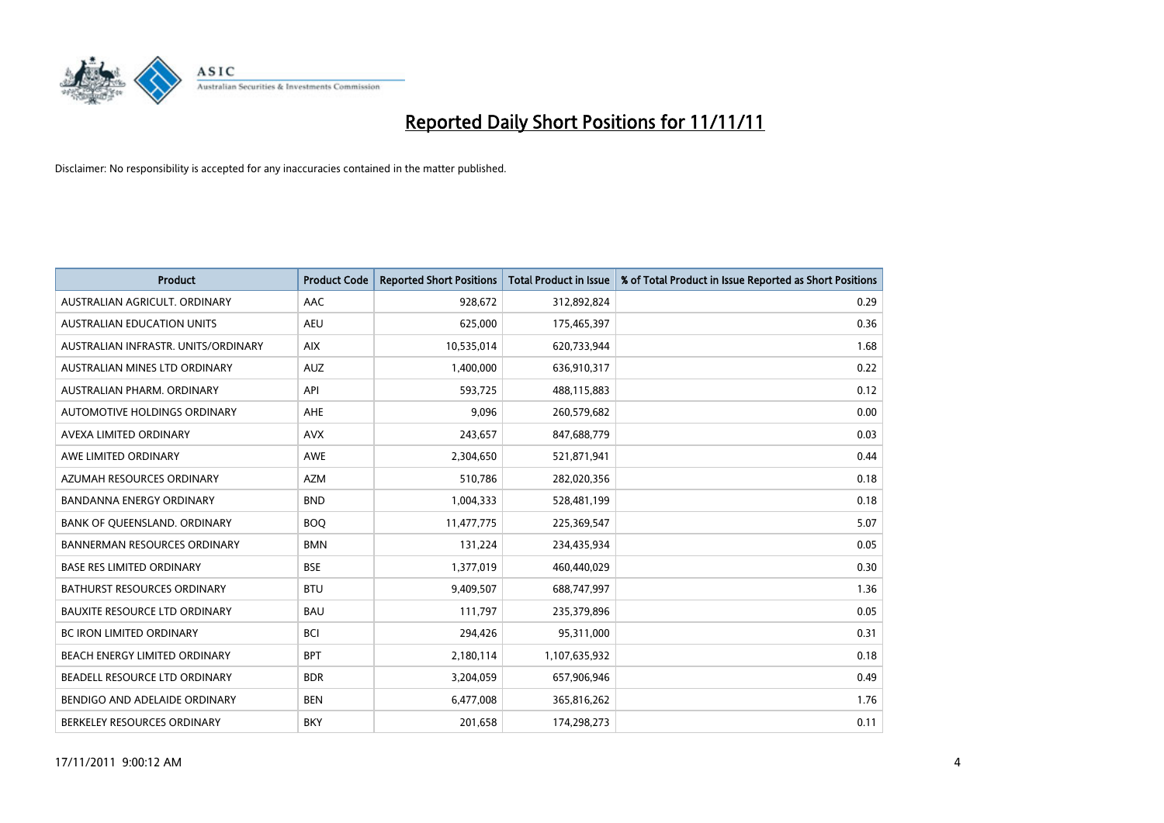

| <b>Product</b>                       | <b>Product Code</b> | <b>Reported Short Positions</b> | Total Product in Issue | % of Total Product in Issue Reported as Short Positions |
|--------------------------------------|---------------------|---------------------------------|------------------------|---------------------------------------------------------|
| AUSTRALIAN AGRICULT, ORDINARY        | AAC                 | 928,672                         | 312,892,824            | 0.29                                                    |
| AUSTRALIAN EDUCATION UNITS           | <b>AEU</b>          | 625,000                         | 175,465,397            | 0.36                                                    |
| AUSTRALIAN INFRASTR, UNITS/ORDINARY  | <b>AIX</b>          | 10,535,014                      | 620,733,944            | 1.68                                                    |
| AUSTRALIAN MINES LTD ORDINARY        | <b>AUZ</b>          | 1,400,000                       | 636,910,317            | 0.22                                                    |
| AUSTRALIAN PHARM, ORDINARY           | API                 | 593,725                         | 488,115,883            | 0.12                                                    |
| AUTOMOTIVE HOLDINGS ORDINARY         | AHE                 | 9,096                           | 260,579,682            | 0.00                                                    |
| AVEXA LIMITED ORDINARY               | <b>AVX</b>          | 243,657                         | 847,688,779            | 0.03                                                    |
| AWE LIMITED ORDINARY                 | AWE                 | 2,304,650                       | 521,871,941            | 0.44                                                    |
| AZUMAH RESOURCES ORDINARY            | <b>AZM</b>          | 510,786                         | 282,020,356            | 0.18                                                    |
| <b>BANDANNA ENERGY ORDINARY</b>      | <b>BND</b>          | 1,004,333                       | 528,481,199            | 0.18                                                    |
| BANK OF QUEENSLAND. ORDINARY         | <b>BOQ</b>          | 11,477,775                      | 225,369,547            | 5.07                                                    |
| <b>BANNERMAN RESOURCES ORDINARY</b>  | <b>BMN</b>          | 131,224                         | 234,435,934            | 0.05                                                    |
| <b>BASE RES LIMITED ORDINARY</b>     | <b>BSE</b>          | 1,377,019                       | 460,440,029            | 0.30                                                    |
| <b>BATHURST RESOURCES ORDINARY</b>   | <b>BTU</b>          | 9,409,507                       | 688,747,997            | 1.36                                                    |
| <b>BAUXITE RESOURCE LTD ORDINARY</b> | <b>BAU</b>          | 111,797                         | 235,379,896            | 0.05                                                    |
| BC IRON LIMITED ORDINARY             | <b>BCI</b>          | 294,426                         | 95,311,000             | 0.31                                                    |
| BEACH ENERGY LIMITED ORDINARY        | <b>BPT</b>          | 2,180,114                       | 1,107,635,932          | 0.18                                                    |
| BEADELL RESOURCE LTD ORDINARY        | <b>BDR</b>          | 3,204,059                       | 657,906,946            | 0.49                                                    |
| BENDIGO AND ADELAIDE ORDINARY        | <b>BEN</b>          | 6,477,008                       | 365,816,262            | 1.76                                                    |
| BERKELEY RESOURCES ORDINARY          | <b>BKY</b>          | 201.658                         | 174,298,273            | 0.11                                                    |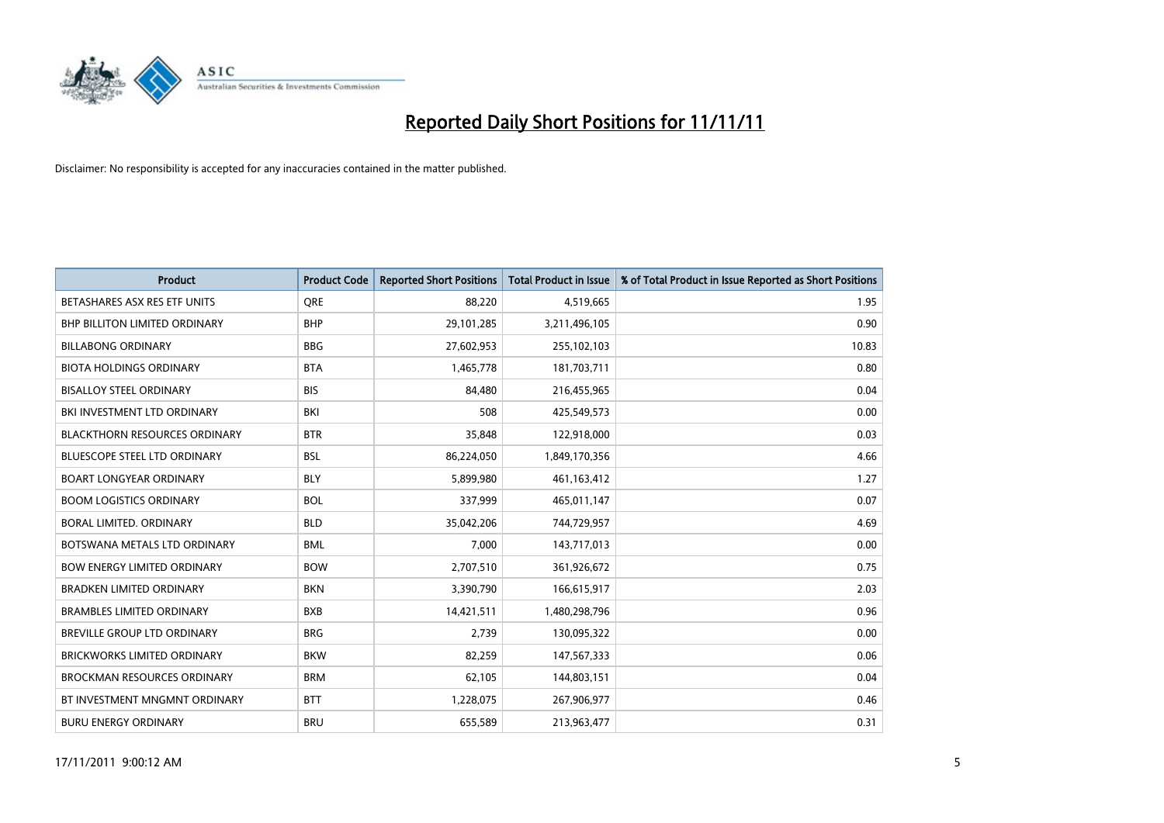

| <b>Product</b>                       | <b>Product Code</b> | <b>Reported Short Positions</b> | <b>Total Product in Issue</b> | % of Total Product in Issue Reported as Short Positions |
|--------------------------------------|---------------------|---------------------------------|-------------------------------|---------------------------------------------------------|
| BETASHARES ASX RES ETF UNITS         | <b>ORE</b>          | 88.220                          | 4,519,665                     | 1.95                                                    |
| <b>BHP BILLITON LIMITED ORDINARY</b> | <b>BHP</b>          | 29,101,285                      | 3,211,496,105                 | 0.90                                                    |
| <b>BILLABONG ORDINARY</b>            | <b>BBG</b>          | 27,602,953                      | 255,102,103                   | 10.83                                                   |
| <b>BIOTA HOLDINGS ORDINARY</b>       | <b>BTA</b>          | 1,465,778                       | 181,703,711                   | 0.80                                                    |
| <b>BISALLOY STEEL ORDINARY</b>       | <b>BIS</b>          | 84,480                          | 216,455,965                   | 0.04                                                    |
| BKI INVESTMENT LTD ORDINARY          | BKI                 | 508                             | 425,549,573                   | 0.00                                                    |
| <b>BLACKTHORN RESOURCES ORDINARY</b> | <b>BTR</b>          | 35,848                          | 122,918,000                   | 0.03                                                    |
| <b>BLUESCOPE STEEL LTD ORDINARY</b>  | <b>BSL</b>          | 86,224,050                      | 1,849,170,356                 | 4.66                                                    |
| <b>BOART LONGYEAR ORDINARY</b>       | <b>BLY</b>          | 5,899,980                       | 461,163,412                   | 1.27                                                    |
| <b>BOOM LOGISTICS ORDINARY</b>       | <b>BOL</b>          | 337,999                         | 465,011,147                   | 0.07                                                    |
| <b>BORAL LIMITED, ORDINARY</b>       | <b>BLD</b>          | 35,042,206                      | 744,729,957                   | 4.69                                                    |
| BOTSWANA METALS LTD ORDINARY         | <b>BML</b>          | 7,000                           | 143,717,013                   | 0.00                                                    |
| <b>BOW ENERGY LIMITED ORDINARY</b>   | <b>BOW</b>          | 2,707,510                       | 361,926,672                   | 0.75                                                    |
| <b>BRADKEN LIMITED ORDINARY</b>      | <b>BKN</b>          | 3,390,790                       | 166,615,917                   | 2.03                                                    |
| <b>BRAMBLES LIMITED ORDINARY</b>     | <b>BXB</b>          | 14,421,511                      | 1,480,298,796                 | 0.96                                                    |
| BREVILLE GROUP LTD ORDINARY          | <b>BRG</b>          | 2,739                           | 130,095,322                   | 0.00                                                    |
| <b>BRICKWORKS LIMITED ORDINARY</b>   | <b>BKW</b>          | 82,259                          | 147,567,333                   | 0.06                                                    |
| <b>BROCKMAN RESOURCES ORDINARY</b>   | <b>BRM</b>          | 62,105                          | 144,803,151                   | 0.04                                                    |
| BT INVESTMENT MNGMNT ORDINARY        | <b>BTT</b>          | 1,228,075                       | 267,906,977                   | 0.46                                                    |
| <b>BURU ENERGY ORDINARY</b>          | <b>BRU</b>          | 655.589                         | 213,963,477                   | 0.31                                                    |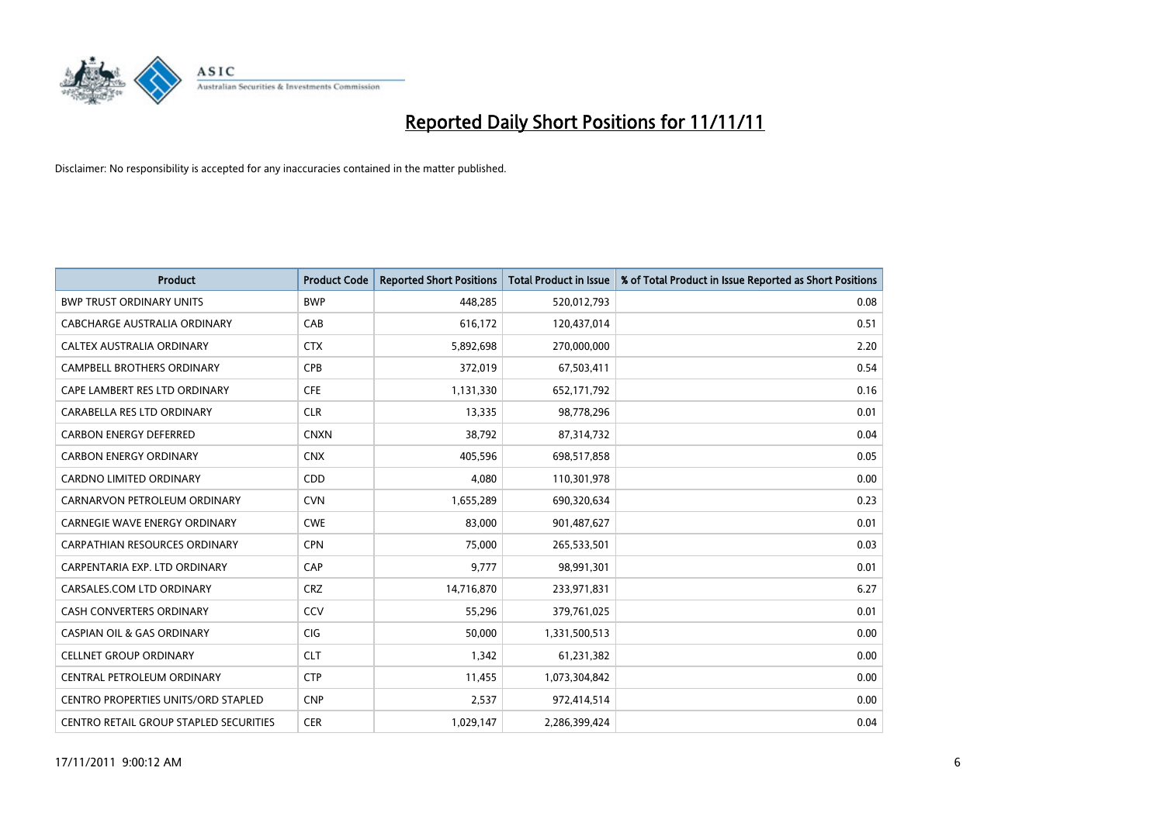

| <b>Product</b>                                | <b>Product Code</b> | <b>Reported Short Positions</b> | <b>Total Product in Issue</b> | % of Total Product in Issue Reported as Short Positions |
|-----------------------------------------------|---------------------|---------------------------------|-------------------------------|---------------------------------------------------------|
| <b>BWP TRUST ORDINARY UNITS</b>               | <b>BWP</b>          | 448.285                         | 520,012,793                   | 0.08                                                    |
| CABCHARGE AUSTRALIA ORDINARY                  | CAB                 | 616,172                         | 120,437,014                   | 0.51                                                    |
| <b>CALTEX AUSTRALIA ORDINARY</b>              | <b>CTX</b>          | 5,892,698                       | 270,000,000                   | 2.20                                                    |
| CAMPBELL BROTHERS ORDINARY                    | <b>CPB</b>          | 372,019                         | 67,503,411                    | 0.54                                                    |
| CAPE LAMBERT RES LTD ORDINARY                 | <b>CFE</b>          | 1,131,330                       | 652,171,792                   | 0.16                                                    |
| CARABELLA RES LTD ORDINARY                    | <b>CLR</b>          | 13,335                          | 98,778,296                    | 0.01                                                    |
| <b>CARBON ENERGY DEFERRED</b>                 | <b>CNXN</b>         | 38.792                          | 87,314,732                    | 0.04                                                    |
| <b>CARBON ENERGY ORDINARY</b>                 | <b>CNX</b>          | 405,596                         | 698,517,858                   | 0.05                                                    |
| <b>CARDNO LIMITED ORDINARY</b>                | <b>CDD</b>          | 4.080                           | 110,301,978                   | 0.00                                                    |
| CARNARVON PETROLEUM ORDINARY                  | <b>CVN</b>          | 1,655,289                       | 690,320,634                   | 0.23                                                    |
| <b>CARNEGIE WAVE ENERGY ORDINARY</b>          | <b>CWE</b>          | 83,000                          | 901,487,627                   | 0.01                                                    |
| <b>CARPATHIAN RESOURCES ORDINARY</b>          | <b>CPN</b>          | 75,000                          | 265,533,501                   | 0.03                                                    |
| CARPENTARIA EXP. LTD ORDINARY                 | CAP                 | 9,777                           | 98,991,301                    | 0.01                                                    |
| CARSALES.COM LTD ORDINARY                     | <b>CRZ</b>          | 14,716,870                      | 233,971,831                   | 6.27                                                    |
| <b>CASH CONVERTERS ORDINARY</b>               | CCV                 | 55,296                          | 379,761,025                   | 0.01                                                    |
| <b>CASPIAN OIL &amp; GAS ORDINARY</b>         | <b>CIG</b>          | 50,000                          | 1,331,500,513                 | 0.00                                                    |
| <b>CELLNET GROUP ORDINARY</b>                 | <b>CLT</b>          | 1,342                           | 61,231,382                    | 0.00                                                    |
| CENTRAL PETROLEUM ORDINARY                    | <b>CTP</b>          | 11,455                          | 1,073,304,842                 | 0.00                                                    |
| <b>CENTRO PROPERTIES UNITS/ORD STAPLED</b>    | <b>CNP</b>          | 2,537                           | 972,414,514                   | 0.00                                                    |
| <b>CENTRO RETAIL GROUP STAPLED SECURITIES</b> | <b>CER</b>          | 1,029,147                       | 2,286,399,424                 | 0.04                                                    |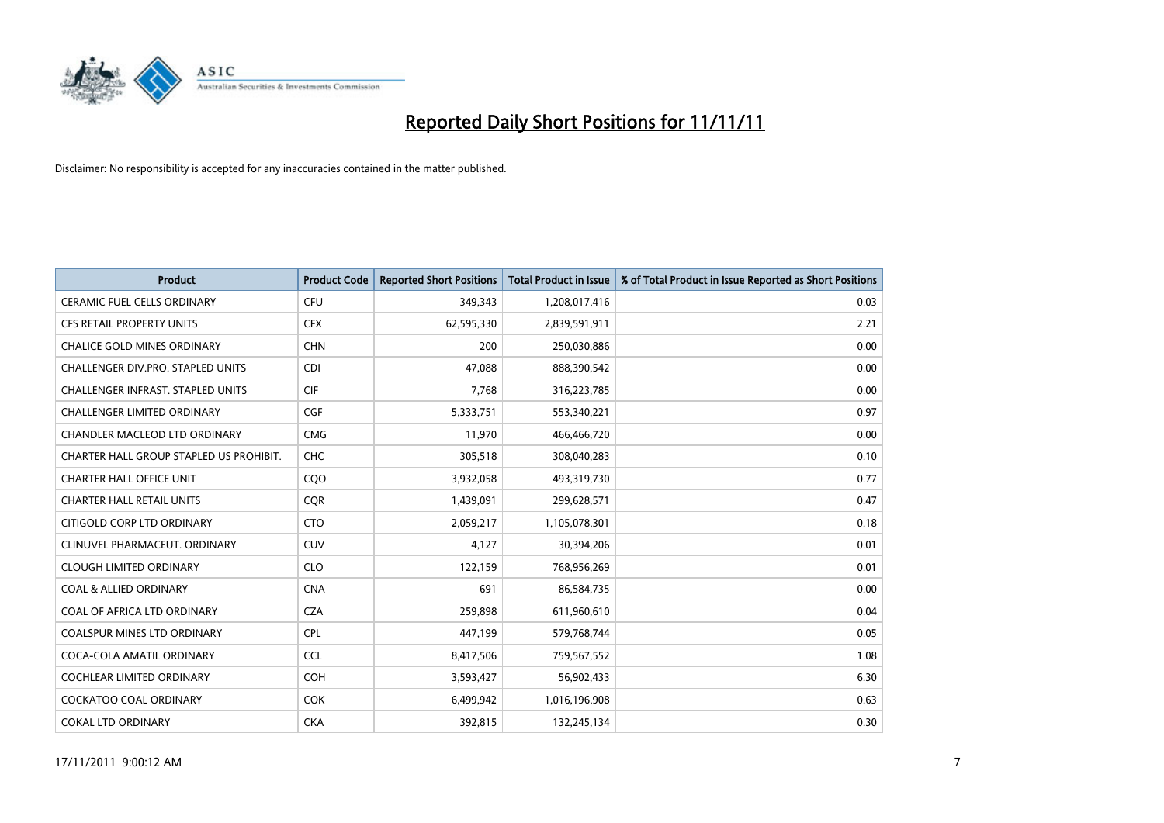

| <b>Product</b>                           | <b>Product Code</b> | <b>Reported Short Positions</b> | <b>Total Product in Issue</b> | % of Total Product in Issue Reported as Short Positions |
|------------------------------------------|---------------------|---------------------------------|-------------------------------|---------------------------------------------------------|
| <b>CERAMIC FUEL CELLS ORDINARY</b>       | <b>CFU</b>          | 349,343                         | 1,208,017,416                 | 0.03                                                    |
| <b>CFS RETAIL PROPERTY UNITS</b>         | <b>CFX</b>          | 62,595,330                      | 2,839,591,911                 | 2.21                                                    |
| <b>CHALICE GOLD MINES ORDINARY</b>       | <b>CHN</b>          | 200                             | 250,030,886                   | 0.00                                                    |
| CHALLENGER DIV.PRO. STAPLED UNITS        | <b>CDI</b>          | 47,088                          | 888,390,542                   | 0.00                                                    |
| <b>CHALLENGER INFRAST, STAPLED UNITS</b> | <b>CIF</b>          | 7,768                           | 316,223,785                   | 0.00                                                    |
| <b>CHALLENGER LIMITED ORDINARY</b>       | <b>CGF</b>          | 5,333,751                       | 553,340,221                   | 0.97                                                    |
| <b>CHANDLER MACLEOD LTD ORDINARY</b>     | <b>CMG</b>          | 11.970                          | 466,466,720                   | 0.00                                                    |
| CHARTER HALL GROUP STAPLED US PROHIBIT.  | <b>CHC</b>          | 305,518                         | 308,040,283                   | 0.10                                                    |
| <b>CHARTER HALL OFFICE UNIT</b>          | CQO                 | 3,932,058                       | 493,319,730                   | 0.77                                                    |
| <b>CHARTER HALL RETAIL UNITS</b>         | <b>COR</b>          | 1,439,091                       | 299,628,571                   | 0.47                                                    |
| CITIGOLD CORP LTD ORDINARY               | <b>CTO</b>          | 2,059,217                       | 1,105,078,301                 | 0.18                                                    |
| CLINUVEL PHARMACEUT, ORDINARY            | <b>CUV</b>          | 4,127                           | 30,394,206                    | 0.01                                                    |
| <b>CLOUGH LIMITED ORDINARY</b>           | <b>CLO</b>          | 122,159                         | 768,956,269                   | 0.01                                                    |
| <b>COAL &amp; ALLIED ORDINARY</b>        | <b>CNA</b>          | 691                             | 86,584,735                    | 0.00                                                    |
| COAL OF AFRICA LTD ORDINARY              | <b>CZA</b>          | 259,898                         | 611,960,610                   | 0.04                                                    |
| <b>COALSPUR MINES LTD ORDINARY</b>       | <b>CPL</b>          | 447,199                         | 579,768,744                   | 0.05                                                    |
| COCA-COLA AMATIL ORDINARY                | <b>CCL</b>          | 8,417,506                       | 759,567,552                   | 1.08                                                    |
| COCHLEAR LIMITED ORDINARY                | <b>COH</b>          | 3,593,427                       | 56,902,433                    | 6.30                                                    |
| COCKATOO COAL ORDINARY                   | <b>COK</b>          | 6,499,942                       | 1,016,196,908                 | 0.63                                                    |
| <b>COKAL LTD ORDINARY</b>                | <b>CKA</b>          | 392.815                         | 132,245,134                   | 0.30                                                    |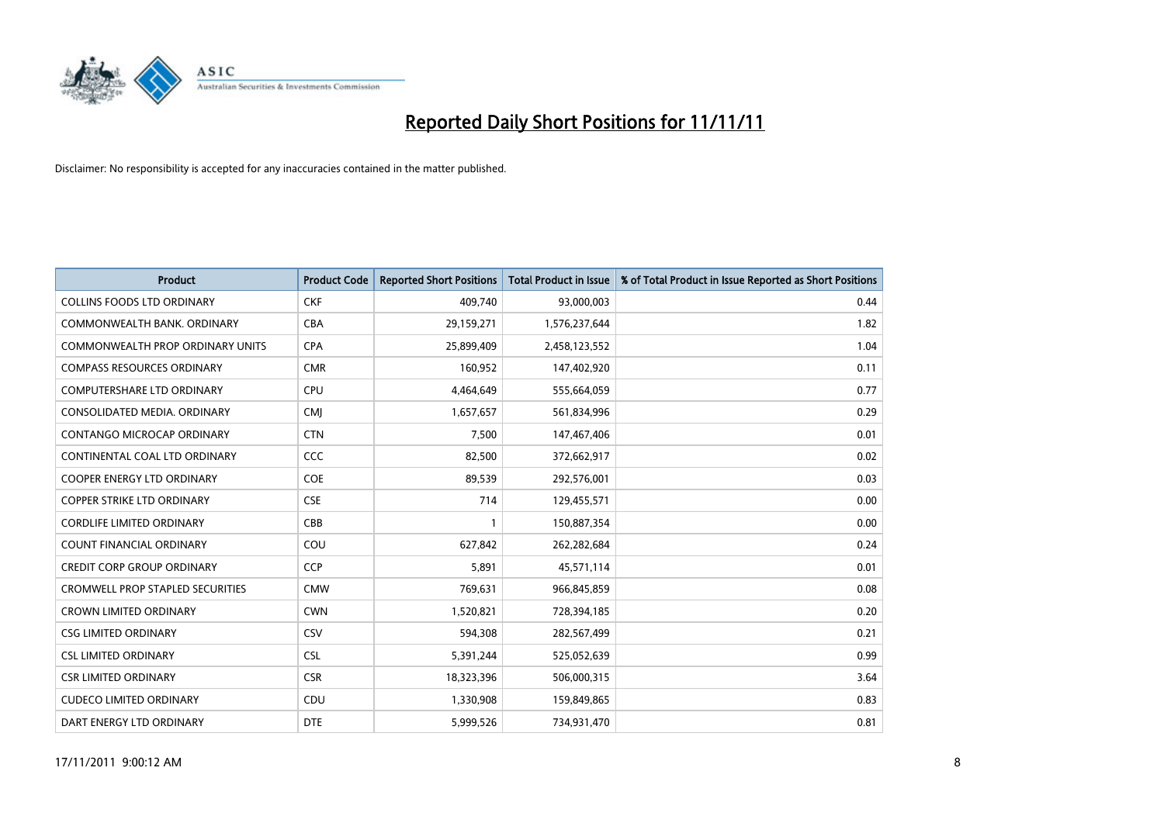

| <b>Product</b>                          | <b>Product Code</b> | <b>Reported Short Positions</b> | <b>Total Product in Issue</b> | % of Total Product in Issue Reported as Short Positions |
|-----------------------------------------|---------------------|---------------------------------|-------------------------------|---------------------------------------------------------|
| <b>COLLINS FOODS LTD ORDINARY</b>       | <b>CKF</b>          | 409,740                         | 93,000,003                    | 0.44                                                    |
| COMMONWEALTH BANK, ORDINARY             | <b>CBA</b>          | 29,159,271                      | 1,576,237,644                 | 1.82                                                    |
| COMMONWEALTH PROP ORDINARY UNITS        | <b>CPA</b>          | 25,899,409                      | 2,458,123,552                 | 1.04                                                    |
| <b>COMPASS RESOURCES ORDINARY</b>       | <b>CMR</b>          | 160,952                         | 147,402,920                   | 0.11                                                    |
| <b>COMPUTERSHARE LTD ORDINARY</b>       | <b>CPU</b>          | 4,464,649                       | 555,664,059                   | 0.77                                                    |
| CONSOLIDATED MEDIA, ORDINARY            | <b>CMI</b>          | 1,657,657                       | 561,834,996                   | 0.29                                                    |
| <b>CONTANGO MICROCAP ORDINARY</b>       | <b>CTN</b>          | 7,500                           | 147,467,406                   | 0.01                                                    |
| CONTINENTAL COAL LTD ORDINARY           | CCC                 | 82,500                          | 372,662,917                   | 0.02                                                    |
| COOPER ENERGY LTD ORDINARY              | <b>COE</b>          | 89,539                          | 292,576,001                   | 0.03                                                    |
| <b>COPPER STRIKE LTD ORDINARY</b>       | <b>CSE</b>          | 714                             | 129,455,571                   | 0.00                                                    |
| <b>CORDLIFE LIMITED ORDINARY</b>        | CBB                 |                                 | 150,887,354                   | 0.00                                                    |
| COUNT FINANCIAL ORDINARY                | COU                 | 627,842                         | 262,282,684                   | 0.24                                                    |
| <b>CREDIT CORP GROUP ORDINARY</b>       | <b>CCP</b>          | 5,891                           | 45,571,114                    | 0.01                                                    |
| <b>CROMWELL PROP STAPLED SECURITIES</b> | <b>CMW</b>          | 769,631                         | 966,845,859                   | 0.08                                                    |
| <b>CROWN LIMITED ORDINARY</b>           | <b>CWN</b>          | 1,520,821                       | 728,394,185                   | 0.20                                                    |
| <b>CSG LIMITED ORDINARY</b>             | CSV                 | 594,308                         | 282,567,499                   | 0.21                                                    |
| <b>CSL LIMITED ORDINARY</b>             | <b>CSL</b>          | 5,391,244                       | 525,052,639                   | 0.99                                                    |
| <b>CSR LIMITED ORDINARY</b>             | <b>CSR</b>          | 18,323,396                      | 506,000,315                   | 3.64                                                    |
| <b>CUDECO LIMITED ORDINARY</b>          | CDU                 | 1,330,908                       | 159,849,865                   | 0.83                                                    |
| DART ENERGY LTD ORDINARY                | <b>DTE</b>          | 5,999,526                       | 734,931,470                   | 0.81                                                    |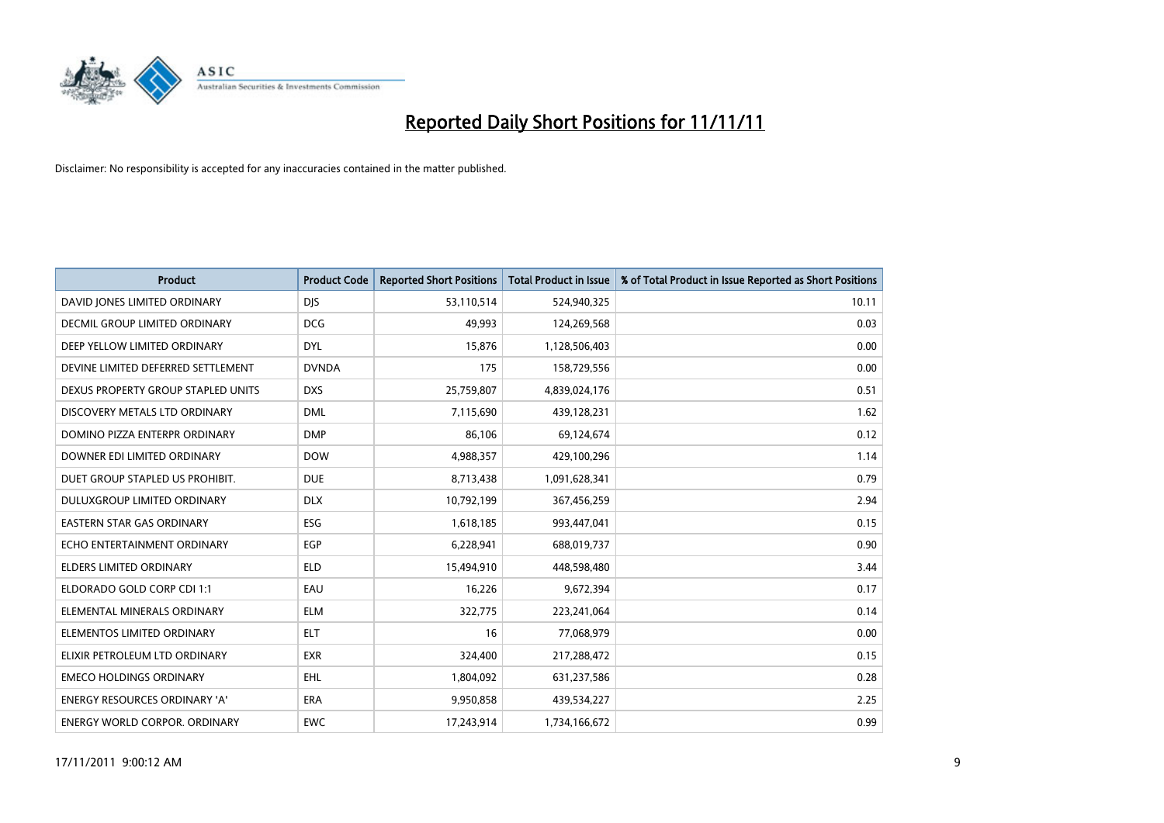

| <b>Product</b>                       | <b>Product Code</b> | <b>Reported Short Positions</b> | <b>Total Product in Issue</b> | % of Total Product in Issue Reported as Short Positions |
|--------------------------------------|---------------------|---------------------------------|-------------------------------|---------------------------------------------------------|
| DAVID JONES LIMITED ORDINARY         | <b>DJS</b>          | 53,110,514                      | 524,940,325                   | 10.11                                                   |
| <b>DECMIL GROUP LIMITED ORDINARY</b> | <b>DCG</b>          | 49,993                          | 124,269,568                   | 0.03                                                    |
| DEEP YELLOW LIMITED ORDINARY         | <b>DYL</b>          | 15,876                          | 1,128,506,403                 | 0.00                                                    |
| DEVINE LIMITED DEFERRED SETTLEMENT   | <b>DVNDA</b>        | 175                             | 158,729,556                   | 0.00                                                    |
| DEXUS PROPERTY GROUP STAPLED UNITS   | <b>DXS</b>          | 25,759,807                      | 4,839,024,176                 | 0.51                                                    |
| DISCOVERY METALS LTD ORDINARY        | <b>DML</b>          | 7,115,690                       | 439,128,231                   | 1.62                                                    |
| DOMINO PIZZA ENTERPR ORDINARY        | <b>DMP</b>          | 86,106                          | 69,124,674                    | 0.12                                                    |
| DOWNER EDI LIMITED ORDINARY          | <b>DOW</b>          | 4,988,357                       | 429,100,296                   | 1.14                                                    |
| DUET GROUP STAPLED US PROHIBIT.      | <b>DUE</b>          | 8,713,438                       | 1,091,628,341                 | 0.79                                                    |
| <b>DULUXGROUP LIMITED ORDINARY</b>   | <b>DLX</b>          | 10,792,199                      | 367,456,259                   | 2.94                                                    |
| <b>EASTERN STAR GAS ORDINARY</b>     | ESG                 | 1,618,185                       | 993,447,041                   | 0.15                                                    |
| ECHO ENTERTAINMENT ORDINARY          | <b>EGP</b>          | 6,228,941                       | 688,019,737                   | 0.90                                                    |
| <b>ELDERS LIMITED ORDINARY</b>       | <b>ELD</b>          | 15,494,910                      | 448,598,480                   | 3.44                                                    |
| ELDORADO GOLD CORP CDI 1:1           | EAU                 | 16,226                          | 9,672,394                     | 0.17                                                    |
| ELEMENTAL MINERALS ORDINARY          | <b>ELM</b>          | 322,775                         | 223,241,064                   | 0.14                                                    |
| ELEMENTOS LIMITED ORDINARY           | <b>ELT</b>          | 16                              | 77,068,979                    | 0.00                                                    |
| ELIXIR PETROLEUM LTD ORDINARY        | <b>EXR</b>          | 324,400                         | 217,288,472                   | 0.15                                                    |
| <b>EMECO HOLDINGS ORDINARY</b>       | <b>EHL</b>          | 1,804,092                       | 631,237,586                   | 0.28                                                    |
| <b>ENERGY RESOURCES ORDINARY 'A'</b> | <b>ERA</b>          | 9,950,858                       | 439,534,227                   | 2.25                                                    |
| ENERGY WORLD CORPOR. ORDINARY        | <b>EWC</b>          | 17,243,914                      | 1,734,166,672                 | 0.99                                                    |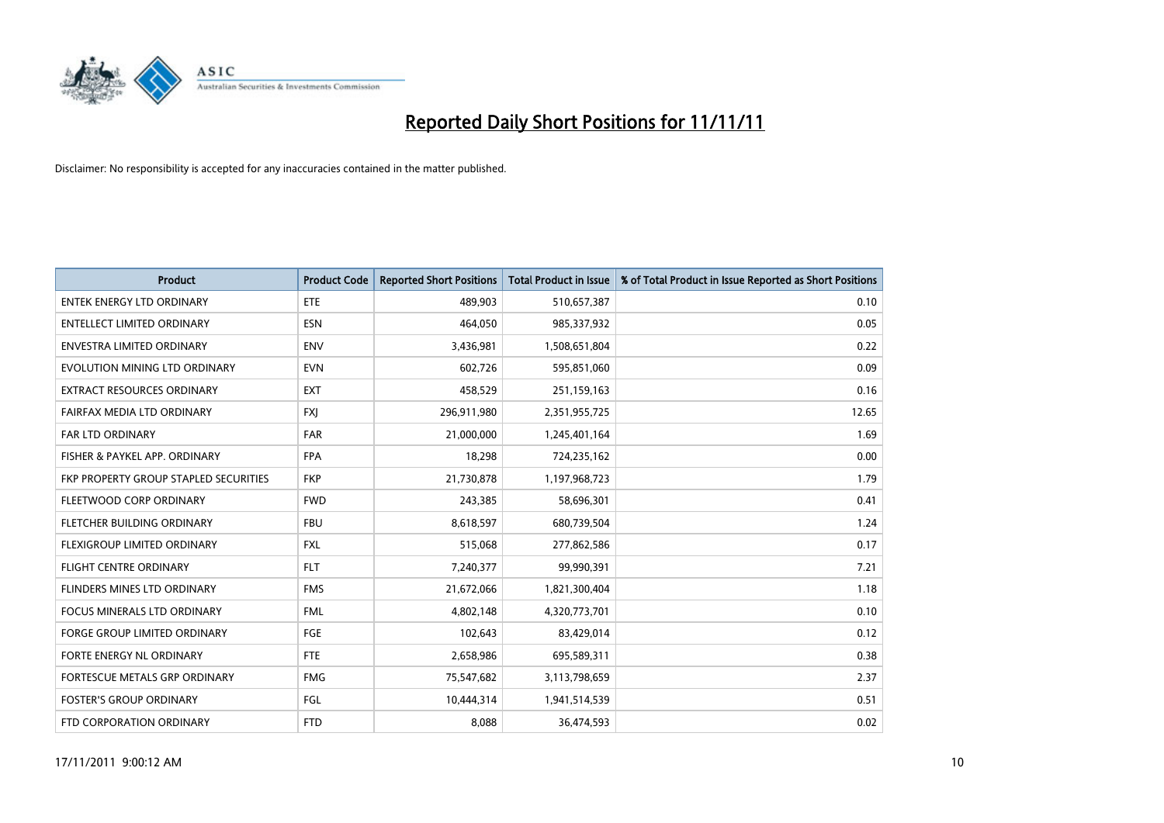

| <b>Product</b>                        | <b>Product Code</b> | <b>Reported Short Positions</b> | <b>Total Product in Issue</b> | % of Total Product in Issue Reported as Short Positions |
|---------------------------------------|---------------------|---------------------------------|-------------------------------|---------------------------------------------------------|
| <b>ENTEK ENERGY LTD ORDINARY</b>      | ETE                 | 489,903                         | 510,657,387                   | 0.10                                                    |
| ENTELLECT LIMITED ORDINARY            | <b>ESN</b>          | 464,050                         | 985,337,932                   | 0.05                                                    |
| <b>ENVESTRA LIMITED ORDINARY</b>      | <b>ENV</b>          | 3,436,981                       | 1,508,651,804                 | 0.22                                                    |
| EVOLUTION MINING LTD ORDINARY         | <b>EVN</b>          | 602,726                         | 595,851,060                   | 0.09                                                    |
| <b>EXTRACT RESOURCES ORDINARY</b>     | <b>EXT</b>          | 458,529                         | 251,159,163                   | 0.16                                                    |
| FAIRFAX MEDIA LTD ORDINARY            | <b>FXJ</b>          | 296,911,980                     | 2,351,955,725                 | 12.65                                                   |
| FAR LTD ORDINARY                      | <b>FAR</b>          | 21,000,000                      | 1,245,401,164                 | 1.69                                                    |
| FISHER & PAYKEL APP. ORDINARY         | <b>FPA</b>          | 18,298                          | 724,235,162                   | 0.00                                                    |
| FKP PROPERTY GROUP STAPLED SECURITIES | <b>FKP</b>          | 21,730,878                      | 1,197,968,723                 | 1.79                                                    |
| FLEETWOOD CORP ORDINARY               | <b>FWD</b>          | 243,385                         | 58,696,301                    | 0.41                                                    |
| FLETCHER BUILDING ORDINARY            | <b>FBU</b>          | 8,618,597                       | 680,739,504                   | 1.24                                                    |
| FLEXIGROUP LIMITED ORDINARY           | <b>FXL</b>          | 515,068                         | 277,862,586                   | 0.17                                                    |
| <b>FLIGHT CENTRE ORDINARY</b>         | <b>FLT</b>          | 7,240,377                       | 99,990,391                    | 7.21                                                    |
| FLINDERS MINES LTD ORDINARY           | <b>FMS</b>          | 21,672,066                      | 1,821,300,404                 | 1.18                                                    |
| <b>FOCUS MINERALS LTD ORDINARY</b>    | <b>FML</b>          | 4,802,148                       | 4,320,773,701                 | 0.10                                                    |
| <b>FORGE GROUP LIMITED ORDINARY</b>   | FGE                 | 102,643                         | 83,429,014                    | 0.12                                                    |
| FORTE ENERGY NL ORDINARY              | <b>FTE</b>          | 2,658,986                       | 695,589,311                   | 0.38                                                    |
| <b>FORTESCUE METALS GRP ORDINARY</b>  | <b>FMG</b>          | 75,547,682                      | 3,113,798,659                 | 2.37                                                    |
| <b>FOSTER'S GROUP ORDINARY</b>        | FGL                 | 10,444,314                      | 1,941,514,539                 | 0.51                                                    |
| FTD CORPORATION ORDINARY              | <b>FTD</b>          | 8,088                           | 36,474,593                    | 0.02                                                    |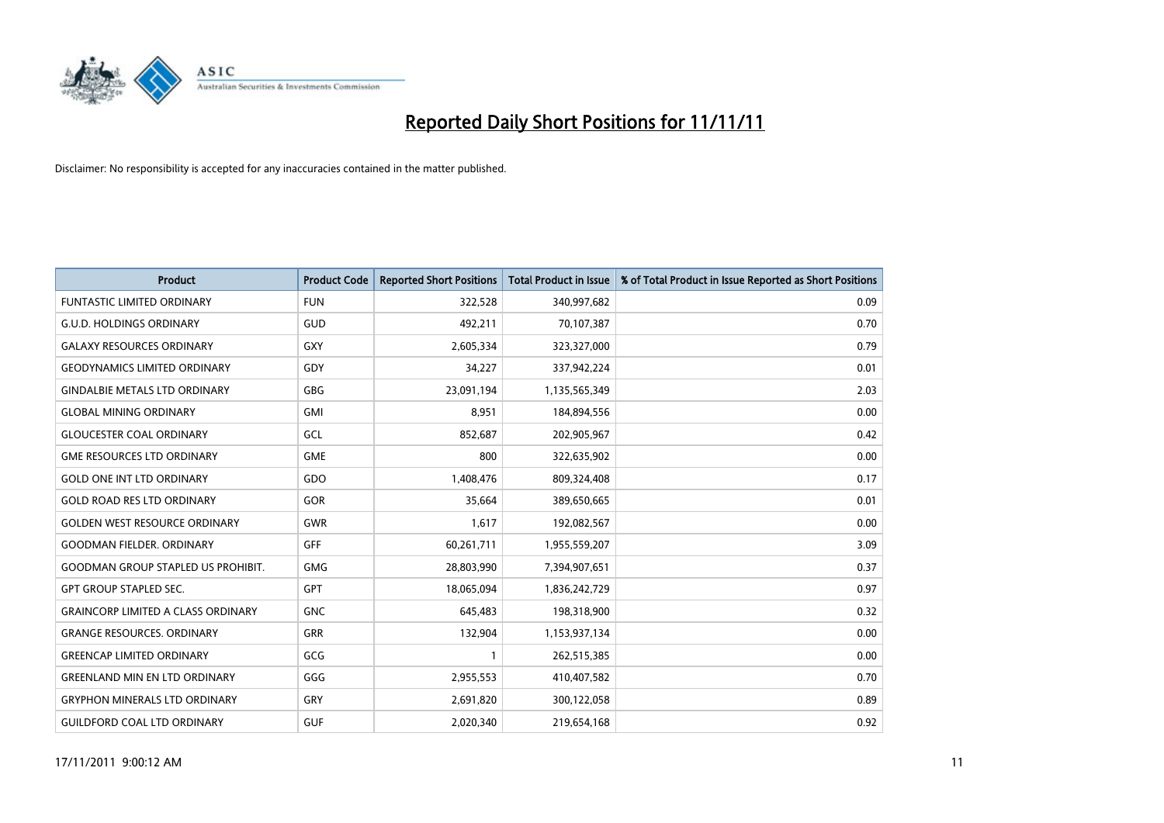

| <b>Product</b>                            | <b>Product Code</b> | <b>Reported Short Positions</b> | <b>Total Product in Issue</b> | % of Total Product in Issue Reported as Short Positions |
|-------------------------------------------|---------------------|---------------------------------|-------------------------------|---------------------------------------------------------|
| <b>FUNTASTIC LIMITED ORDINARY</b>         | <b>FUN</b>          | 322,528                         | 340,997,682                   | 0.09                                                    |
| <b>G.U.D. HOLDINGS ORDINARY</b>           | <b>GUD</b>          | 492,211                         | 70,107,387                    | 0.70                                                    |
| <b>GALAXY RESOURCES ORDINARY</b>          | <b>GXY</b>          | 2,605,334                       | 323,327,000                   | 0.79                                                    |
| <b>GEODYNAMICS LIMITED ORDINARY</b>       | GDY                 | 34,227                          | 337,942,224                   | 0.01                                                    |
| <b>GINDALBIE METALS LTD ORDINARY</b>      | <b>GBG</b>          | 23,091,194                      | 1,135,565,349                 | 2.03                                                    |
| <b>GLOBAL MINING ORDINARY</b>             | GMI                 | 8,951                           | 184,894,556                   | 0.00                                                    |
| <b>GLOUCESTER COAL ORDINARY</b>           | GCL                 | 852,687                         | 202,905,967                   | 0.42                                                    |
| <b>GME RESOURCES LTD ORDINARY</b>         | <b>GME</b>          | 800                             | 322,635,902                   | 0.00                                                    |
| <b>GOLD ONE INT LTD ORDINARY</b>          | GDO                 | 1,408,476                       | 809,324,408                   | 0.17                                                    |
| <b>GOLD ROAD RES LTD ORDINARY</b>         | <b>GOR</b>          | 35,664                          | 389,650,665                   | 0.01                                                    |
| <b>GOLDEN WEST RESOURCE ORDINARY</b>      | <b>GWR</b>          | 1,617                           | 192,082,567                   | 0.00                                                    |
| <b>GOODMAN FIELDER, ORDINARY</b>          | <b>GFF</b>          | 60,261,711                      | 1,955,559,207                 | 3.09                                                    |
| <b>GOODMAN GROUP STAPLED US PROHIBIT.</b> | <b>GMG</b>          | 28,803,990                      | 7,394,907,651                 | 0.37                                                    |
| <b>GPT GROUP STAPLED SEC.</b>             | <b>GPT</b>          | 18,065,094                      | 1,836,242,729                 | 0.97                                                    |
| <b>GRAINCORP LIMITED A CLASS ORDINARY</b> | <b>GNC</b>          | 645,483                         | 198,318,900                   | 0.32                                                    |
| <b>GRANGE RESOURCES. ORDINARY</b>         | GRR                 | 132,904                         | 1,153,937,134                 | 0.00                                                    |
| <b>GREENCAP LIMITED ORDINARY</b>          | GCG                 |                                 | 262,515,385                   | 0.00                                                    |
| <b>GREENLAND MIN EN LTD ORDINARY</b>      | GGG                 | 2,955,553                       | 410,407,582                   | 0.70                                                    |
| <b>GRYPHON MINERALS LTD ORDINARY</b>      | <b>GRY</b>          | 2,691,820                       | 300,122,058                   | 0.89                                                    |
| <b>GUILDFORD COAL LTD ORDINARY</b>        | <b>GUF</b>          | 2,020,340                       | 219,654,168                   | 0.92                                                    |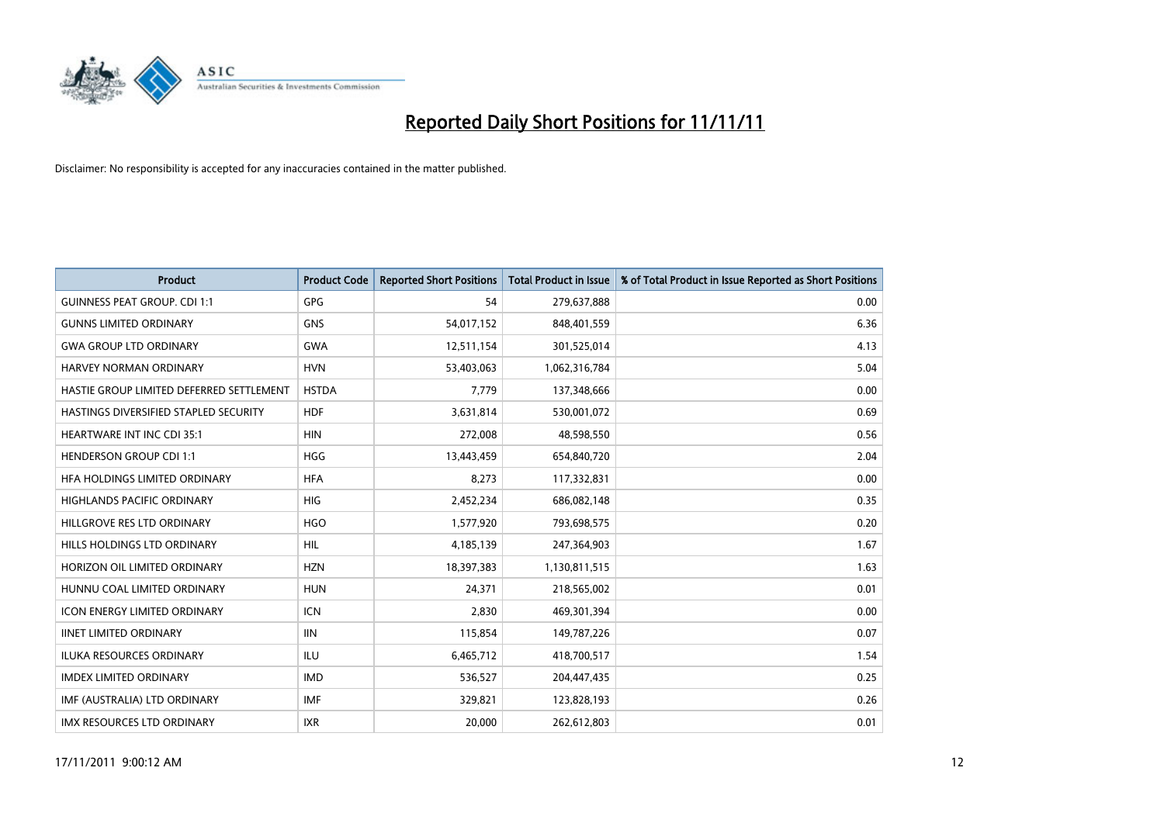

| <b>Product</b>                           | <b>Product Code</b> | <b>Reported Short Positions</b> | <b>Total Product in Issue</b> | % of Total Product in Issue Reported as Short Positions |
|------------------------------------------|---------------------|---------------------------------|-------------------------------|---------------------------------------------------------|
| <b>GUINNESS PEAT GROUP. CDI 1:1</b>      | <b>GPG</b>          | 54                              | 279,637,888                   | 0.00                                                    |
| <b>GUNNS LIMITED ORDINARY</b>            | <b>GNS</b>          | 54,017,152                      | 848,401,559                   | 6.36                                                    |
| <b>GWA GROUP LTD ORDINARY</b>            | <b>GWA</b>          | 12,511,154                      | 301,525,014                   | 4.13                                                    |
| HARVEY NORMAN ORDINARY                   | <b>HVN</b>          | 53,403,063                      | 1,062,316,784                 | 5.04                                                    |
| HASTIE GROUP LIMITED DEFERRED SETTLEMENT | <b>HSTDA</b>        | 7,779                           | 137,348,666                   | 0.00                                                    |
| HASTINGS DIVERSIFIED STAPLED SECURITY    | <b>HDF</b>          | 3,631,814                       | 530,001,072                   | 0.69                                                    |
| <b>HEARTWARE INT INC CDI 35:1</b>        | <b>HIN</b>          | 272,008                         | 48,598,550                    | 0.56                                                    |
| <b>HENDERSON GROUP CDI 1:1</b>           | <b>HGG</b>          | 13,443,459                      | 654,840,720                   | 2.04                                                    |
| HFA HOLDINGS LIMITED ORDINARY            | <b>HFA</b>          | 8,273                           | 117,332,831                   | 0.00                                                    |
| <b>HIGHLANDS PACIFIC ORDINARY</b>        | <b>HIG</b>          | 2,452,234                       | 686,082,148                   | 0.35                                                    |
| HILLGROVE RES LTD ORDINARY               | <b>HGO</b>          | 1,577,920                       | 793,698,575                   | 0.20                                                    |
| HILLS HOLDINGS LTD ORDINARY              | <b>HIL</b>          | 4,185,139                       | 247,364,903                   | 1.67                                                    |
| HORIZON OIL LIMITED ORDINARY             | <b>HZN</b>          | 18,397,383                      | 1,130,811,515                 | 1.63                                                    |
| HUNNU COAL LIMITED ORDINARY              | <b>HUN</b>          | 24,371                          | 218,565,002                   | 0.01                                                    |
| <b>ICON ENERGY LIMITED ORDINARY</b>      | <b>ICN</b>          | 2,830                           | 469,301,394                   | 0.00                                                    |
| <b>IINET LIMITED ORDINARY</b>            | <b>IIN</b>          | 115,854                         | 149,787,226                   | 0.07                                                    |
| ILUKA RESOURCES ORDINARY                 | ILU                 | 6,465,712                       | 418,700,517                   | 1.54                                                    |
| <b>IMDEX LIMITED ORDINARY</b>            | <b>IMD</b>          | 536,527                         | 204,447,435                   | 0.25                                                    |
| IMF (AUSTRALIA) LTD ORDINARY             | <b>IMF</b>          | 329,821                         | 123,828,193                   | 0.26                                                    |
| IMX RESOURCES LTD ORDINARY               | <b>IXR</b>          | 20,000                          | 262,612,803                   | 0.01                                                    |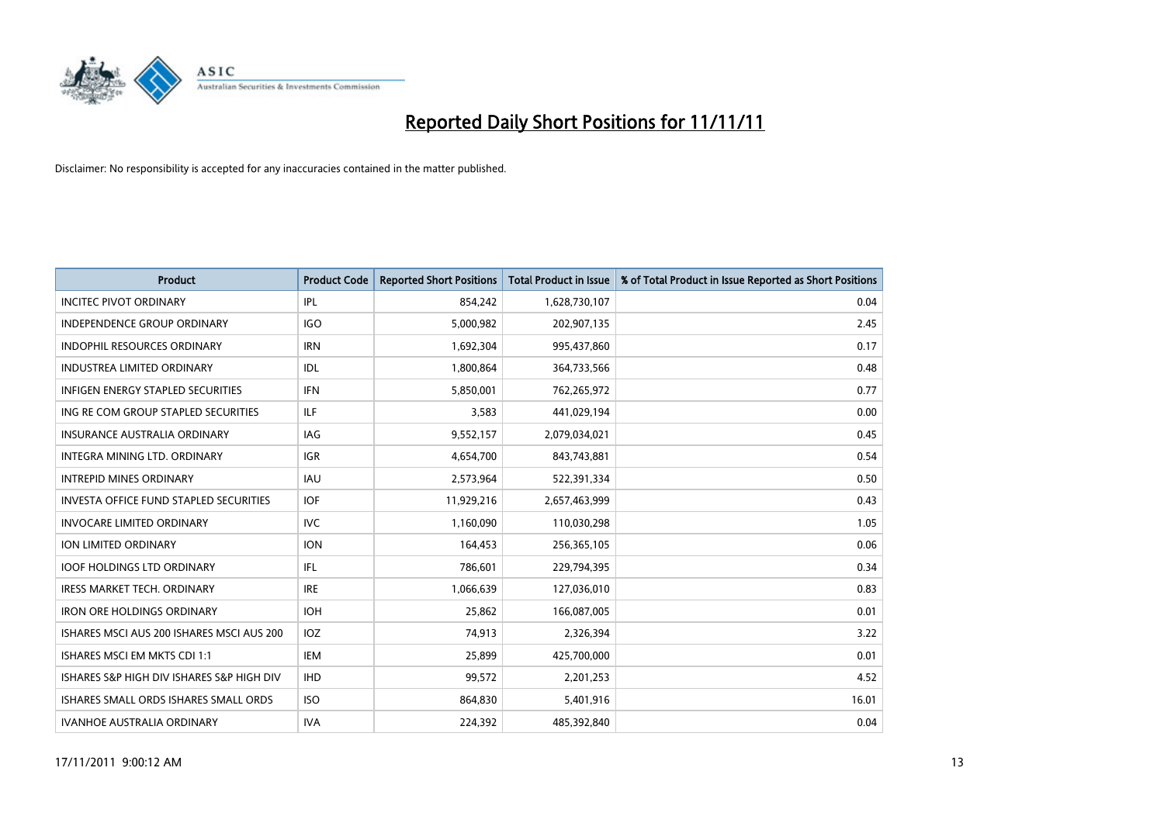

| <b>Product</b>                            | <b>Product Code</b> | <b>Reported Short Positions</b> | <b>Total Product in Issue</b> | % of Total Product in Issue Reported as Short Positions |
|-------------------------------------------|---------------------|---------------------------------|-------------------------------|---------------------------------------------------------|
| <b>INCITEC PIVOT ORDINARY</b>             | IPL                 | 854,242                         | 1,628,730,107                 | 0.04                                                    |
| INDEPENDENCE GROUP ORDINARY               | <b>IGO</b>          | 5,000,982                       | 202,907,135                   | 2.45                                                    |
| <b>INDOPHIL RESOURCES ORDINARY</b>        | <b>IRN</b>          | 1,692,304                       | 995,437,860                   | 0.17                                                    |
| INDUSTREA LIMITED ORDINARY                | <b>IDL</b>          | 1,800,864                       | 364,733,566                   | 0.48                                                    |
| <b>INFIGEN ENERGY STAPLED SECURITIES</b>  | <b>IFN</b>          | 5,850,001                       | 762,265,972                   | 0.77                                                    |
| ING RE COM GROUP STAPLED SECURITIES       | <b>ILF</b>          | 3,583                           | 441,029,194                   | 0.00                                                    |
| <b>INSURANCE AUSTRALIA ORDINARY</b>       | <b>IAG</b>          | 9,552,157                       | 2,079,034,021                 | 0.45                                                    |
| INTEGRA MINING LTD. ORDINARY              | <b>IGR</b>          | 4,654,700                       | 843,743,881                   | 0.54                                                    |
| <b>INTREPID MINES ORDINARY</b>            | <b>IAU</b>          | 2,573,964                       | 522,391,334                   | 0.50                                                    |
| INVESTA OFFICE FUND STAPLED SECURITIES    | <b>IOF</b>          | 11,929,216                      | 2,657,463,999                 | 0.43                                                    |
| <b>INVOCARE LIMITED ORDINARY</b>          | IVC                 | 1,160,090                       | 110,030,298                   | 1.05                                                    |
| ION LIMITED ORDINARY                      | <b>ION</b>          | 164,453                         | 256,365,105                   | 0.06                                                    |
| <b>IOOF HOLDINGS LTD ORDINARY</b>         | <b>IFL</b>          | 786,601                         | 229,794,395                   | 0.34                                                    |
| <b>IRESS MARKET TECH. ORDINARY</b>        | <b>IRE</b>          | 1,066,639                       | 127,036,010                   | 0.83                                                    |
| <b>IRON ORE HOLDINGS ORDINARY</b>         | <b>IOH</b>          | 25,862                          | 166,087,005                   | 0.01                                                    |
| ISHARES MSCI AUS 200 ISHARES MSCI AUS 200 | <b>IOZ</b>          | 74,913                          | 2,326,394                     | 3.22                                                    |
| ISHARES MSCI EM MKTS CDI 1:1              | IEM                 | 25,899                          | 425,700,000                   | 0.01                                                    |
| ISHARES S&P HIGH DIV ISHARES S&P HIGH DIV | <b>IHD</b>          | 99,572                          | 2,201,253                     | 4.52                                                    |
| ISHARES SMALL ORDS ISHARES SMALL ORDS     | <b>ISO</b>          | 864,830                         | 5,401,916                     | 16.01                                                   |
| <b>IVANHOE AUSTRALIA ORDINARY</b>         | <b>IVA</b>          | 224.392                         | 485.392.840                   | 0.04                                                    |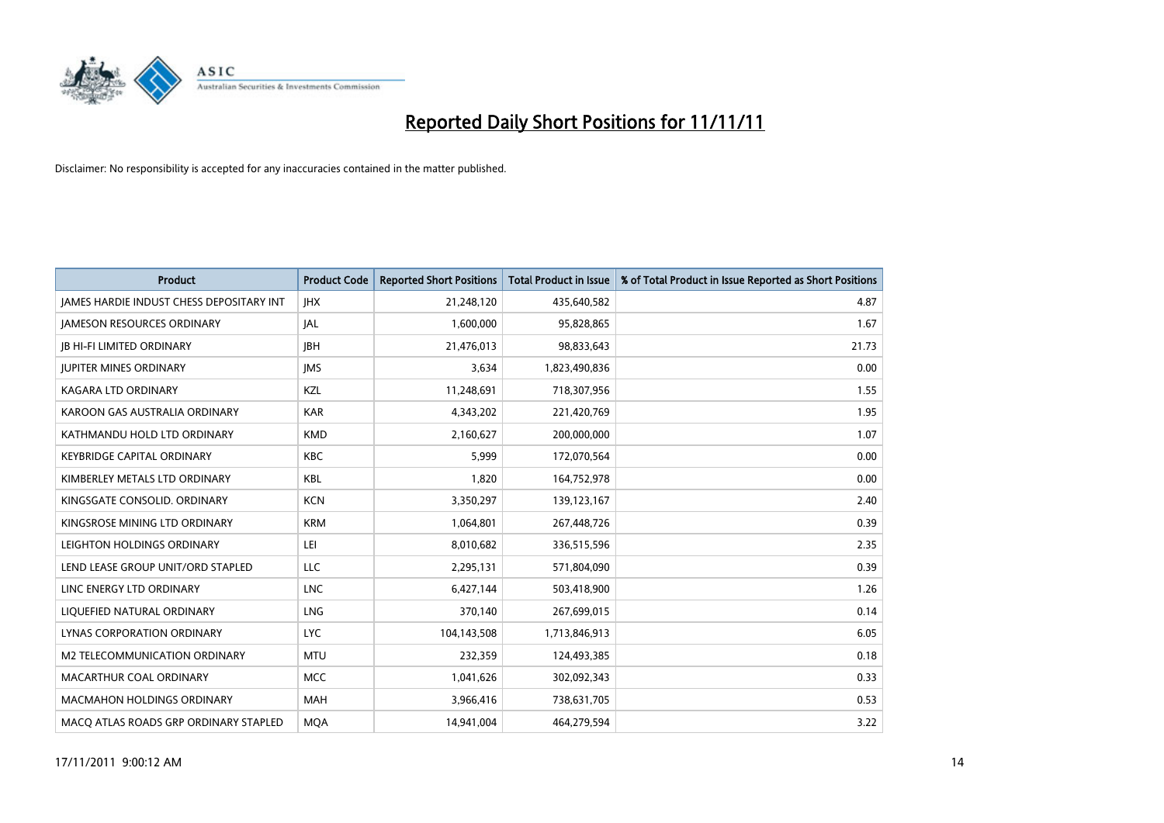

| <b>Product</b>                                  | <b>Product Code</b> | <b>Reported Short Positions</b> | Total Product in Issue | % of Total Product in Issue Reported as Short Positions |
|-------------------------------------------------|---------------------|---------------------------------|------------------------|---------------------------------------------------------|
| <b>JAMES HARDIE INDUST CHESS DEPOSITARY INT</b> | <b>IHX</b>          | 21,248,120                      | 435,640,582            | 4.87                                                    |
| <b>JAMESON RESOURCES ORDINARY</b>               | <b>JAL</b>          | 1,600,000                       | 95,828,865             | 1.67                                                    |
| <b>JB HI-FI LIMITED ORDINARY</b>                | <b>IBH</b>          | 21,476,013                      | 98,833,643             | 21.73                                                   |
| <b>JUPITER MINES ORDINARY</b>                   | <b>IMS</b>          | 3,634                           | 1,823,490,836          | 0.00                                                    |
| <b>KAGARA LTD ORDINARY</b>                      | KZL                 | 11,248,691                      | 718,307,956            | 1.55                                                    |
| KAROON GAS AUSTRALIA ORDINARY                   | <b>KAR</b>          | 4,343,202                       | 221,420,769            | 1.95                                                    |
| KATHMANDU HOLD LTD ORDINARY                     | <b>KMD</b>          | 2,160,627                       | 200,000,000            | 1.07                                                    |
| <b>KEYBRIDGE CAPITAL ORDINARY</b>               | <b>KBC</b>          | 5,999                           | 172,070,564            | 0.00                                                    |
| KIMBERLEY METALS LTD ORDINARY                   | <b>KBL</b>          | 1,820                           | 164,752,978            | 0.00                                                    |
| KINGSGATE CONSOLID. ORDINARY                    | <b>KCN</b>          | 3,350,297                       | 139, 123, 167          | 2.40                                                    |
| KINGSROSE MINING LTD ORDINARY                   | <b>KRM</b>          | 1,064,801                       | 267,448,726            | 0.39                                                    |
| LEIGHTON HOLDINGS ORDINARY                      | LEI                 | 8,010,682                       | 336,515,596            | 2.35                                                    |
| LEND LEASE GROUP UNIT/ORD STAPLED               | <b>LLC</b>          | 2,295,131                       | 571,804,090            | 0.39                                                    |
| LINC ENERGY LTD ORDINARY                        | <b>LNC</b>          | 6,427,144                       | 503,418,900            | 1.26                                                    |
| LIQUEFIED NATURAL ORDINARY                      | <b>LNG</b>          | 370,140                         | 267,699,015            | 0.14                                                    |
| LYNAS CORPORATION ORDINARY                      | <b>LYC</b>          | 104,143,508                     | 1,713,846,913          | 6.05                                                    |
| M2 TELECOMMUNICATION ORDINARY                   | <b>MTU</b>          | 232,359                         | 124,493,385            | 0.18                                                    |
| MACARTHUR COAL ORDINARY                         | <b>MCC</b>          | 1,041,626                       | 302,092,343            | 0.33                                                    |
| <b>MACMAHON HOLDINGS ORDINARY</b>               | <b>MAH</b>          | 3,966,416                       | 738,631,705            | 0.53                                                    |
| MACO ATLAS ROADS GRP ORDINARY STAPLED           | <b>MQA</b>          | 14.941.004                      | 464.279.594            | 3.22                                                    |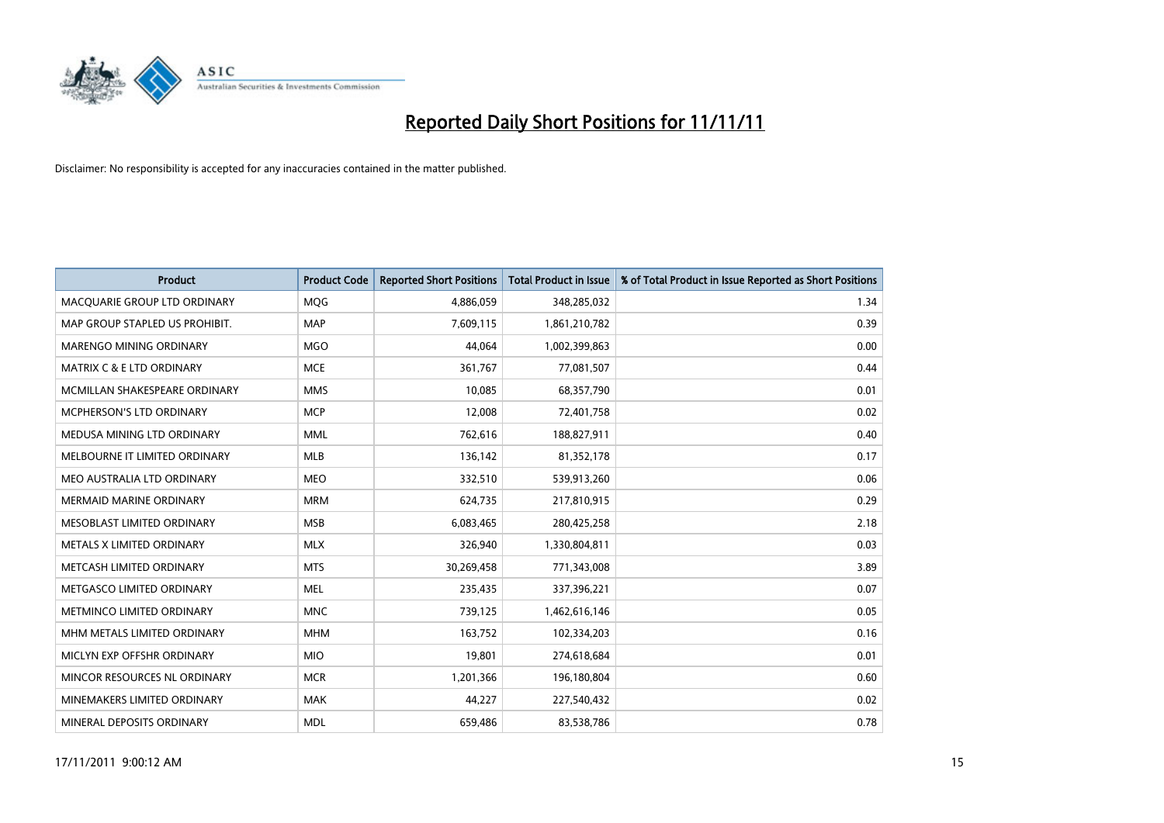

| <b>Product</b>                 | <b>Product Code</b> | <b>Reported Short Positions</b> | <b>Total Product in Issue</b> | % of Total Product in Issue Reported as Short Positions |
|--------------------------------|---------------------|---------------------------------|-------------------------------|---------------------------------------------------------|
| MACQUARIE GROUP LTD ORDINARY   | MQG                 | 4,886,059                       | 348,285,032                   | 1.34                                                    |
| MAP GROUP STAPLED US PROHIBIT. | <b>MAP</b>          | 7,609,115                       | 1,861,210,782                 | 0.39                                                    |
| <b>MARENGO MINING ORDINARY</b> | <b>MGO</b>          | 44,064                          | 1,002,399,863                 | 0.00                                                    |
| MATRIX C & E LTD ORDINARY      | <b>MCE</b>          | 361,767                         | 77,081,507                    | 0.44                                                    |
| MCMILLAN SHAKESPEARE ORDINARY  | <b>MMS</b>          | 10.085                          | 68,357,790                    | 0.01                                                    |
| MCPHERSON'S LTD ORDINARY       | <b>MCP</b>          | 12,008                          | 72,401,758                    | 0.02                                                    |
| MEDUSA MINING LTD ORDINARY     | <b>MML</b>          | 762.616                         | 188,827,911                   | 0.40                                                    |
| MELBOURNE IT LIMITED ORDINARY  | <b>MLB</b>          | 136,142                         | 81,352,178                    | 0.17                                                    |
| MEO AUSTRALIA LTD ORDINARY     | <b>MEO</b>          | 332,510                         | 539,913,260                   | 0.06                                                    |
| <b>MERMAID MARINE ORDINARY</b> | <b>MRM</b>          | 624,735                         | 217,810,915                   | 0.29                                                    |
| MESOBLAST LIMITED ORDINARY     | <b>MSB</b>          | 6,083,465                       | 280,425,258                   | 2.18                                                    |
| METALS X LIMITED ORDINARY      | <b>MLX</b>          | 326,940                         | 1,330,804,811                 | 0.03                                                    |
| METCASH LIMITED ORDINARY       | <b>MTS</b>          | 30,269,458                      | 771,343,008                   | 3.89                                                    |
| METGASCO LIMITED ORDINARY      | <b>MEL</b>          | 235,435                         | 337,396,221                   | 0.07                                                    |
| METMINCO LIMITED ORDINARY      | <b>MNC</b>          | 739,125                         | 1,462,616,146                 | 0.05                                                    |
| MHM METALS LIMITED ORDINARY    | <b>MHM</b>          | 163,752                         | 102,334,203                   | 0.16                                                    |
| MICLYN EXP OFFSHR ORDINARY     | <b>MIO</b>          | 19,801                          | 274,618,684                   | 0.01                                                    |
| MINCOR RESOURCES NL ORDINARY   | <b>MCR</b>          | 1,201,366                       | 196,180,804                   | 0.60                                                    |
| MINEMAKERS LIMITED ORDINARY    | <b>MAK</b>          | 44,227                          | 227,540,432                   | 0.02                                                    |
| MINERAL DEPOSITS ORDINARY      | <b>MDL</b>          | 659.486                         | 83,538,786                    | 0.78                                                    |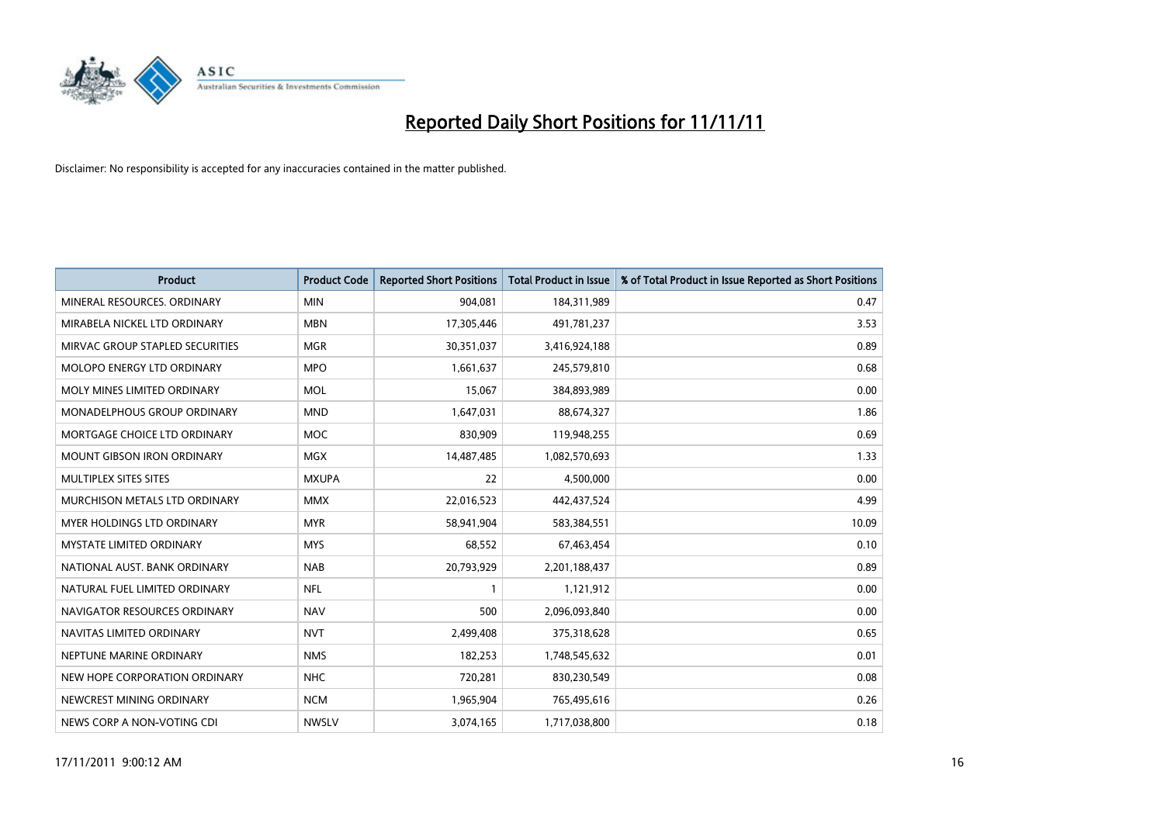

| <b>Product</b>                       | <b>Product Code</b> | <b>Reported Short Positions</b> | <b>Total Product in Issue</b> | % of Total Product in Issue Reported as Short Positions |
|--------------------------------------|---------------------|---------------------------------|-------------------------------|---------------------------------------------------------|
| MINERAL RESOURCES, ORDINARY          | <b>MIN</b>          | 904,081                         | 184,311,989                   | 0.47                                                    |
| MIRABELA NICKEL LTD ORDINARY         | <b>MBN</b>          | 17,305,446                      | 491,781,237                   | 3.53                                                    |
| MIRVAC GROUP STAPLED SECURITIES      | <b>MGR</b>          | 30,351,037                      | 3,416,924,188                 | 0.89                                                    |
| MOLOPO ENERGY LTD ORDINARY           | <b>MPO</b>          | 1,661,637                       | 245,579,810                   | 0.68                                                    |
| MOLY MINES LIMITED ORDINARY          | <b>MOL</b>          | 15,067                          | 384,893,989                   | 0.00                                                    |
| <b>MONADELPHOUS GROUP ORDINARY</b>   | <b>MND</b>          | 1,647,031                       | 88,674,327                    | 1.86                                                    |
| MORTGAGE CHOICE LTD ORDINARY         | <b>MOC</b>          | 830,909                         | 119,948,255                   | 0.69                                                    |
| MOUNT GIBSON IRON ORDINARY           | <b>MGX</b>          | 14,487,485                      | 1,082,570,693                 | 1.33                                                    |
| MULTIPLEX SITES SITES                | <b>MXUPA</b>        | 22                              | 4,500,000                     | 0.00                                                    |
| <b>MURCHISON METALS LTD ORDINARY</b> | <b>MMX</b>          | 22,016,523                      | 442,437,524                   | 4.99                                                    |
| MYER HOLDINGS LTD ORDINARY           | <b>MYR</b>          | 58,941,904                      | 583,384,551                   | 10.09                                                   |
| <b>MYSTATE LIMITED ORDINARY</b>      | <b>MYS</b>          | 68,552                          | 67,463,454                    | 0.10                                                    |
| NATIONAL AUST, BANK ORDINARY         | <b>NAB</b>          | 20,793,929                      | 2,201,188,437                 | 0.89                                                    |
| NATURAL FUEL LIMITED ORDINARY        | <b>NFL</b>          |                                 | 1,121,912                     | 0.00                                                    |
| NAVIGATOR RESOURCES ORDINARY         | <b>NAV</b>          | 500                             | 2,096,093,840                 | 0.00                                                    |
| NAVITAS LIMITED ORDINARY             | <b>NVT</b>          | 2,499,408                       | 375,318,628                   | 0.65                                                    |
| NEPTUNE MARINE ORDINARY              | <b>NMS</b>          | 182,253                         | 1,748,545,632                 | 0.01                                                    |
| NEW HOPE CORPORATION ORDINARY        | <b>NHC</b>          | 720,281                         | 830,230,549                   | 0.08                                                    |
| NEWCREST MINING ORDINARY             | <b>NCM</b>          | 1,965,904                       | 765,495,616                   | 0.26                                                    |
| NEWS CORP A NON-VOTING CDI           | <b>NWSLV</b>        | 3,074,165                       | 1,717,038,800                 | 0.18                                                    |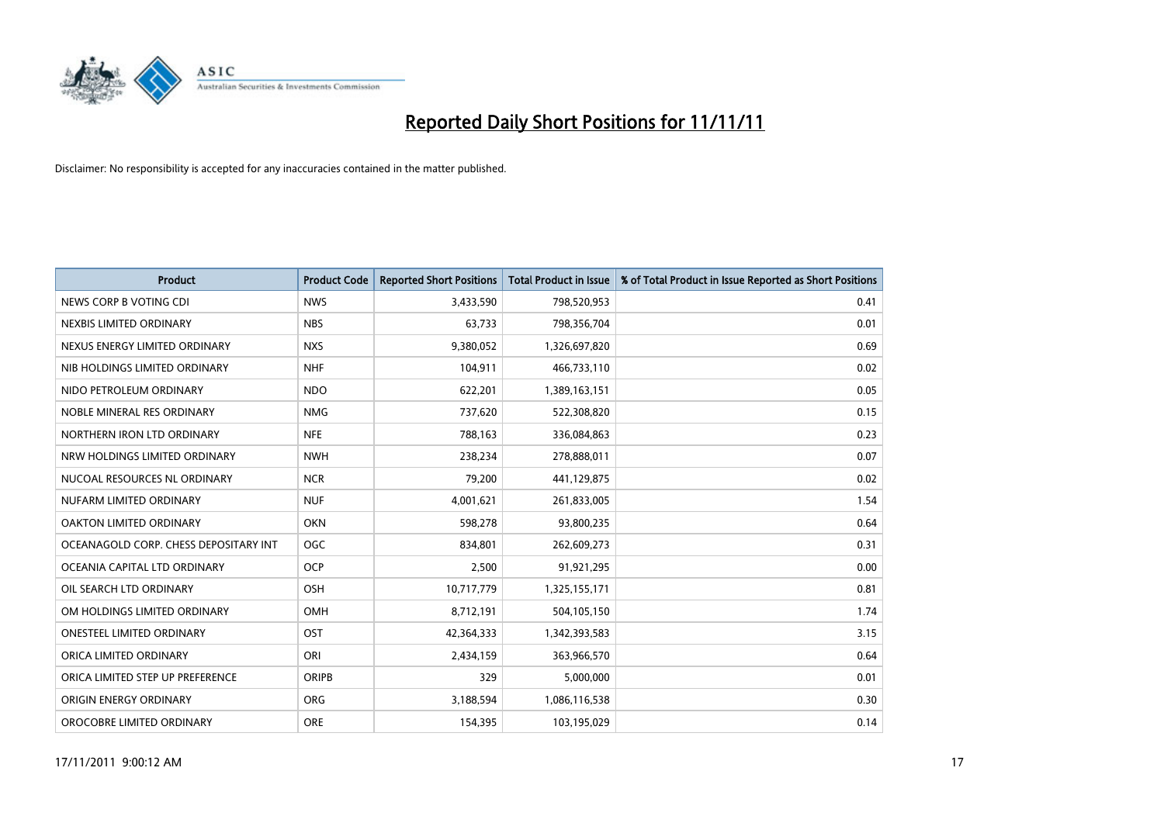

| <b>Product</b>                        | <b>Product Code</b> | <b>Reported Short Positions</b> | <b>Total Product in Issue</b> | % of Total Product in Issue Reported as Short Positions |
|---------------------------------------|---------------------|---------------------------------|-------------------------------|---------------------------------------------------------|
| NEWS CORP B VOTING CDI                | <b>NWS</b>          | 3,433,590                       | 798,520,953                   | 0.41                                                    |
| NEXBIS LIMITED ORDINARY               | <b>NBS</b>          | 63,733                          | 798,356,704                   | 0.01                                                    |
| NEXUS ENERGY LIMITED ORDINARY         | <b>NXS</b>          | 9,380,052                       | 1,326,697,820                 | 0.69                                                    |
| NIB HOLDINGS LIMITED ORDINARY         | <b>NHF</b>          | 104,911                         | 466,733,110                   | 0.02                                                    |
| NIDO PETROLEUM ORDINARY               | <b>NDO</b>          | 622,201                         | 1,389,163,151                 | 0.05                                                    |
| NOBLE MINERAL RES ORDINARY            | <b>NMG</b>          | 737,620                         | 522,308,820                   | 0.15                                                    |
| NORTHERN IRON LTD ORDINARY            | <b>NFE</b>          | 788,163                         | 336,084,863                   | 0.23                                                    |
| NRW HOLDINGS LIMITED ORDINARY         | <b>NWH</b>          | 238,234                         | 278,888,011                   | 0.07                                                    |
| NUCOAL RESOURCES NL ORDINARY          | <b>NCR</b>          | 79,200                          | 441,129,875                   | 0.02                                                    |
| NUFARM LIMITED ORDINARY               | <b>NUF</b>          | 4,001,621                       | 261,833,005                   | 1.54                                                    |
| OAKTON LIMITED ORDINARY               | <b>OKN</b>          | 598,278                         | 93,800,235                    | 0.64                                                    |
| OCEANAGOLD CORP. CHESS DEPOSITARY INT | <b>OGC</b>          | 834,801                         | 262,609,273                   | 0.31                                                    |
| OCEANIA CAPITAL LTD ORDINARY          | <b>OCP</b>          | 2,500                           | 91,921,295                    | 0.00                                                    |
| OIL SEARCH LTD ORDINARY               | OSH                 | 10,717,779                      | 1,325,155,171                 | 0.81                                                    |
| OM HOLDINGS LIMITED ORDINARY          | OMH                 | 8,712,191                       | 504,105,150                   | 1.74                                                    |
| ONESTEEL LIMITED ORDINARY             | OST                 | 42,364,333                      | 1,342,393,583                 | 3.15                                                    |
| ORICA LIMITED ORDINARY                | ORI                 | 2,434,159                       | 363,966,570                   | 0.64                                                    |
| ORICA LIMITED STEP UP PREFERENCE      | ORIPB               | 329                             | 5,000,000                     | 0.01                                                    |
| ORIGIN ENERGY ORDINARY                | <b>ORG</b>          | 3,188,594                       | 1,086,116,538                 | 0.30                                                    |
| OROCOBRE LIMITED ORDINARY             | <b>ORE</b>          | 154,395                         | 103,195,029                   | 0.14                                                    |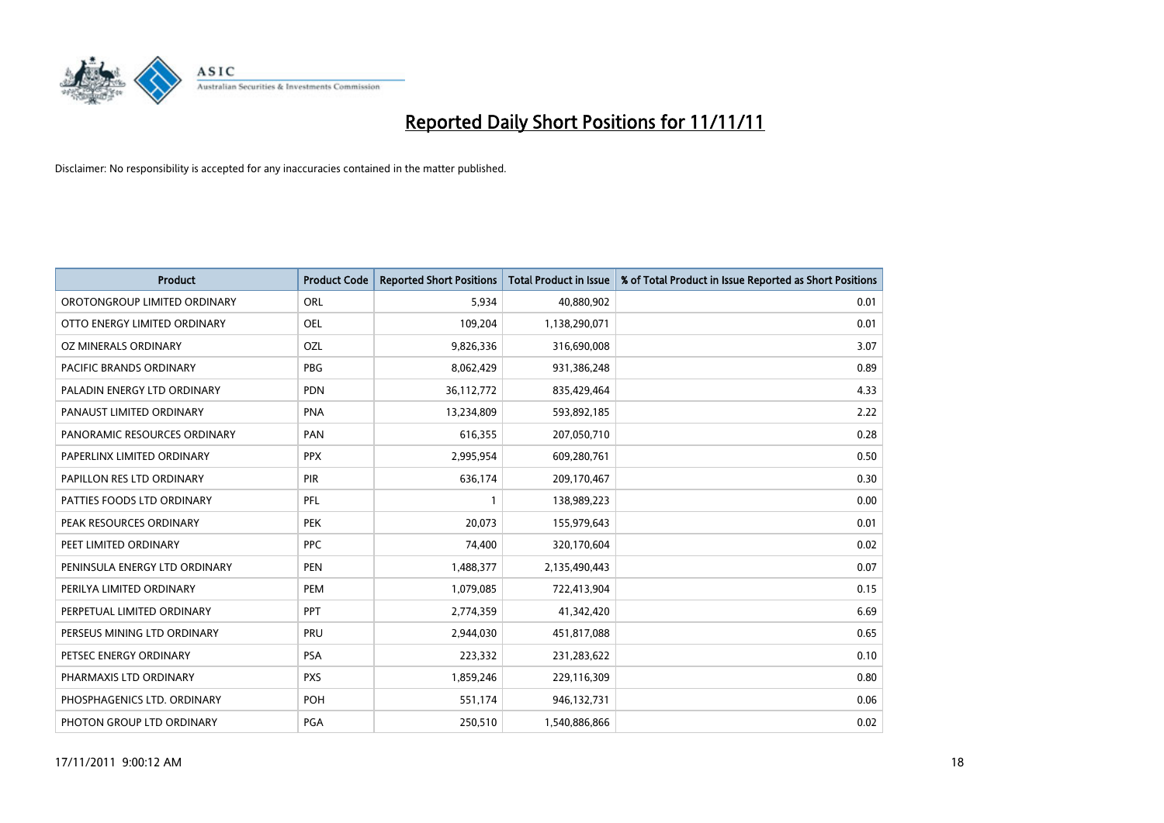

| <b>Product</b>                | <b>Product Code</b> | <b>Reported Short Positions</b> | <b>Total Product in Issue</b> | % of Total Product in Issue Reported as Short Positions |
|-------------------------------|---------------------|---------------------------------|-------------------------------|---------------------------------------------------------|
| OROTONGROUP LIMITED ORDINARY  | ORL                 | 5,934                           | 40,880,902                    | 0.01                                                    |
| OTTO ENERGY LIMITED ORDINARY  | <b>OEL</b>          | 109,204                         | 1,138,290,071                 | 0.01                                                    |
| OZ MINERALS ORDINARY          | OZL                 | 9,826,336                       | 316,690,008                   | 3.07                                                    |
| PACIFIC BRANDS ORDINARY       | <b>PBG</b>          | 8,062,429                       | 931,386,248                   | 0.89                                                    |
| PALADIN ENERGY LTD ORDINARY   | <b>PDN</b>          | 36,112,772                      | 835,429,464                   | 4.33                                                    |
| PANAUST LIMITED ORDINARY      | <b>PNA</b>          | 13,234,809                      | 593,892,185                   | 2.22                                                    |
| PANORAMIC RESOURCES ORDINARY  | PAN                 | 616,355                         | 207,050,710                   | 0.28                                                    |
| PAPERLINX LIMITED ORDINARY    | <b>PPX</b>          | 2,995,954                       | 609,280,761                   | 0.50                                                    |
| PAPILLON RES LTD ORDINARY     | PIR                 | 636,174                         | 209,170,467                   | 0.30                                                    |
| PATTIES FOODS LTD ORDINARY    | PFL                 |                                 | 138,989,223                   | 0.00                                                    |
| PEAK RESOURCES ORDINARY       | <b>PEK</b>          | 20,073                          | 155,979,643                   | 0.01                                                    |
| PEET LIMITED ORDINARY         | <b>PPC</b>          | 74,400                          | 320,170,604                   | 0.02                                                    |
| PENINSULA ENERGY LTD ORDINARY | <b>PEN</b>          | 1,488,377                       | 2,135,490,443                 | 0.07                                                    |
| PERILYA LIMITED ORDINARY      | PEM                 | 1,079,085                       | 722,413,904                   | 0.15                                                    |
| PERPETUAL LIMITED ORDINARY    | <b>PPT</b>          | 2,774,359                       | 41,342,420                    | 6.69                                                    |
| PERSEUS MINING LTD ORDINARY   | PRU                 | 2,944,030                       | 451,817,088                   | 0.65                                                    |
| PETSEC ENERGY ORDINARY        | <b>PSA</b>          | 223,332                         | 231,283,622                   | 0.10                                                    |
| PHARMAXIS LTD ORDINARY        | <b>PXS</b>          | 1,859,246                       | 229,116,309                   | 0.80                                                    |
| PHOSPHAGENICS LTD. ORDINARY   | POH                 | 551,174                         | 946,132,731                   | 0.06                                                    |
| PHOTON GROUP LTD ORDINARY     | <b>PGA</b>          | 250,510                         | 1,540,886,866                 | 0.02                                                    |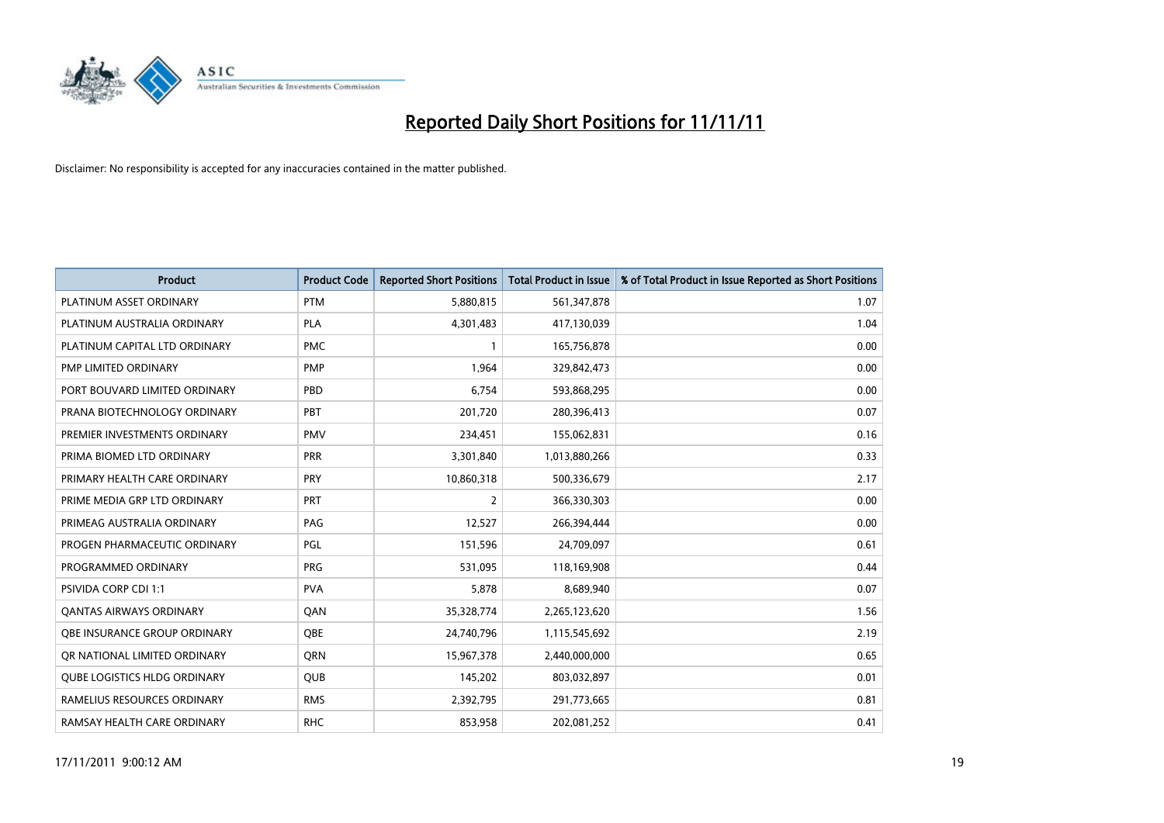

| <b>Product</b>                      | <b>Product Code</b> | <b>Reported Short Positions</b> | <b>Total Product in Issue</b> | % of Total Product in Issue Reported as Short Positions |
|-------------------------------------|---------------------|---------------------------------|-------------------------------|---------------------------------------------------------|
| PLATINUM ASSET ORDINARY             | <b>PTM</b>          | 5,880,815                       | 561,347,878                   | 1.07                                                    |
| PLATINUM AUSTRALIA ORDINARY         | <b>PLA</b>          | 4,301,483                       | 417,130,039                   | 1.04                                                    |
| PLATINUM CAPITAL LTD ORDINARY       | <b>PMC</b>          |                                 | 165,756,878                   | 0.00                                                    |
| PMP LIMITED ORDINARY                | <b>PMP</b>          | 1,964                           | 329,842,473                   | 0.00                                                    |
| PORT BOUVARD LIMITED ORDINARY       | PBD                 | 6,754                           | 593,868,295                   | 0.00                                                    |
| PRANA BIOTECHNOLOGY ORDINARY        | PBT                 | 201,720                         | 280,396,413                   | 0.07                                                    |
| PREMIER INVESTMENTS ORDINARY        | <b>PMV</b>          | 234,451                         | 155,062,831                   | 0.16                                                    |
| PRIMA BIOMED LTD ORDINARY           | <b>PRR</b>          | 3,301,840                       | 1,013,880,266                 | 0.33                                                    |
| PRIMARY HEALTH CARE ORDINARY        | <b>PRY</b>          | 10,860,318                      | 500,336,679                   | 2.17                                                    |
| PRIME MEDIA GRP LTD ORDINARY        | <b>PRT</b>          | 2                               | 366,330,303                   | 0.00                                                    |
| PRIMEAG AUSTRALIA ORDINARY          | PAG                 | 12,527                          | 266,394,444                   | 0.00                                                    |
| PROGEN PHARMACEUTIC ORDINARY        | PGL                 | 151,596                         | 24,709,097                    | 0.61                                                    |
| PROGRAMMED ORDINARY                 | <b>PRG</b>          | 531,095                         | 118,169,908                   | 0.44                                                    |
| <b>PSIVIDA CORP CDI 1:1</b>         | <b>PVA</b>          | 5,878                           | 8,689,940                     | 0.07                                                    |
| <b>QANTAS AIRWAYS ORDINARY</b>      | QAN                 | 35,328,774                      | 2,265,123,620                 | 1.56                                                    |
| OBE INSURANCE GROUP ORDINARY        | <b>OBE</b>          | 24,740,796                      | 1,115,545,692                 | 2.19                                                    |
| OR NATIONAL LIMITED ORDINARY        | <b>ORN</b>          | 15,967,378                      | 2,440,000,000                 | 0.65                                                    |
| <b>OUBE LOGISTICS HLDG ORDINARY</b> | QUB                 | 145,202                         | 803,032,897                   | 0.01                                                    |
| RAMELIUS RESOURCES ORDINARY         | <b>RMS</b>          | 2,392,795                       | 291,773,665                   | 0.81                                                    |
| RAMSAY HEALTH CARE ORDINARY         | <b>RHC</b>          | 853,958                         | 202,081,252                   | 0.41                                                    |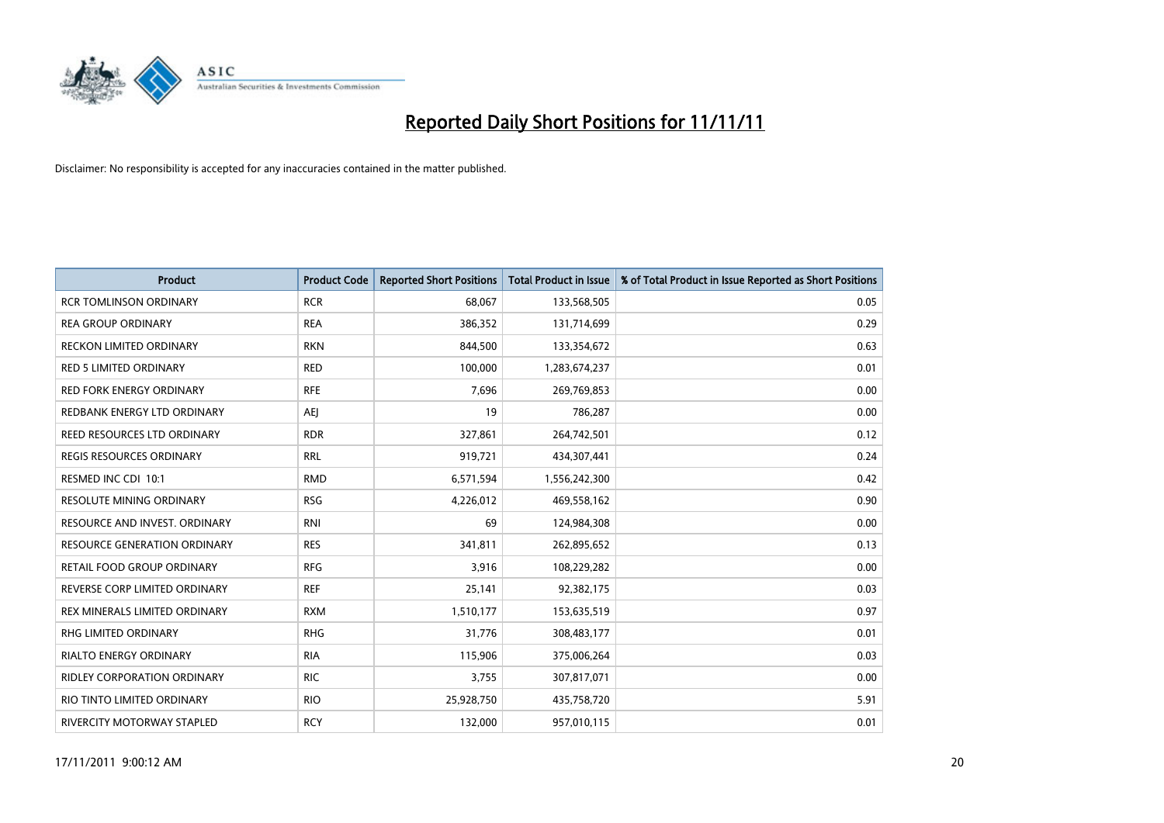

| <b>Product</b>                      | <b>Product Code</b> | <b>Reported Short Positions</b> | <b>Total Product in Issue</b> | % of Total Product in Issue Reported as Short Positions |
|-------------------------------------|---------------------|---------------------------------|-------------------------------|---------------------------------------------------------|
| <b>RCR TOMLINSON ORDINARY</b>       | <b>RCR</b>          | 68,067                          | 133,568,505                   | 0.05                                                    |
| <b>REA GROUP ORDINARY</b>           | <b>REA</b>          | 386,352                         | 131,714,699                   | 0.29                                                    |
| <b>RECKON LIMITED ORDINARY</b>      | <b>RKN</b>          | 844,500                         | 133,354,672                   | 0.63                                                    |
| RED 5 LIMITED ORDINARY              | <b>RED</b>          | 100,000                         | 1,283,674,237                 | 0.01                                                    |
| <b>RED FORK ENERGY ORDINARY</b>     | <b>RFE</b>          | 7,696                           | 269,769,853                   | 0.00                                                    |
| REDBANK ENERGY LTD ORDINARY         | AEI                 | 19                              | 786,287                       | 0.00                                                    |
| REED RESOURCES LTD ORDINARY         | <b>RDR</b>          | 327,861                         | 264,742,501                   | 0.12                                                    |
| REGIS RESOURCES ORDINARY            | <b>RRL</b>          | 919,721                         | 434,307,441                   | 0.24                                                    |
| RESMED INC CDI 10:1                 | <b>RMD</b>          | 6,571,594                       | 1,556,242,300                 | 0.42                                                    |
| <b>RESOLUTE MINING ORDINARY</b>     | <b>RSG</b>          | 4,226,012                       | 469,558,162                   | 0.90                                                    |
| RESOURCE AND INVEST. ORDINARY       | <b>RNI</b>          | 69                              | 124,984,308                   | 0.00                                                    |
| <b>RESOURCE GENERATION ORDINARY</b> | <b>RES</b>          | 341,811                         | 262,895,652                   | 0.13                                                    |
| RETAIL FOOD GROUP ORDINARY          | <b>RFG</b>          | 3,916                           | 108,229,282                   | 0.00                                                    |
| REVERSE CORP LIMITED ORDINARY       | <b>REF</b>          | 25,141                          | 92,382,175                    | 0.03                                                    |
| REX MINERALS LIMITED ORDINARY       | <b>RXM</b>          | 1,510,177                       | 153,635,519                   | 0.97                                                    |
| RHG LIMITED ORDINARY                | <b>RHG</b>          | 31,776                          | 308,483,177                   | 0.01                                                    |
| RIALTO ENERGY ORDINARY              | <b>RIA</b>          | 115,906                         | 375,006,264                   | 0.03                                                    |
| RIDLEY CORPORATION ORDINARY         | <b>RIC</b>          | 3,755                           | 307,817,071                   | 0.00                                                    |
| RIO TINTO LIMITED ORDINARY          | <b>RIO</b>          | 25,928,750                      | 435,758,720                   | 5.91                                                    |
| RIVERCITY MOTORWAY STAPLED          | <b>RCY</b>          | 132,000                         | 957,010,115                   | 0.01                                                    |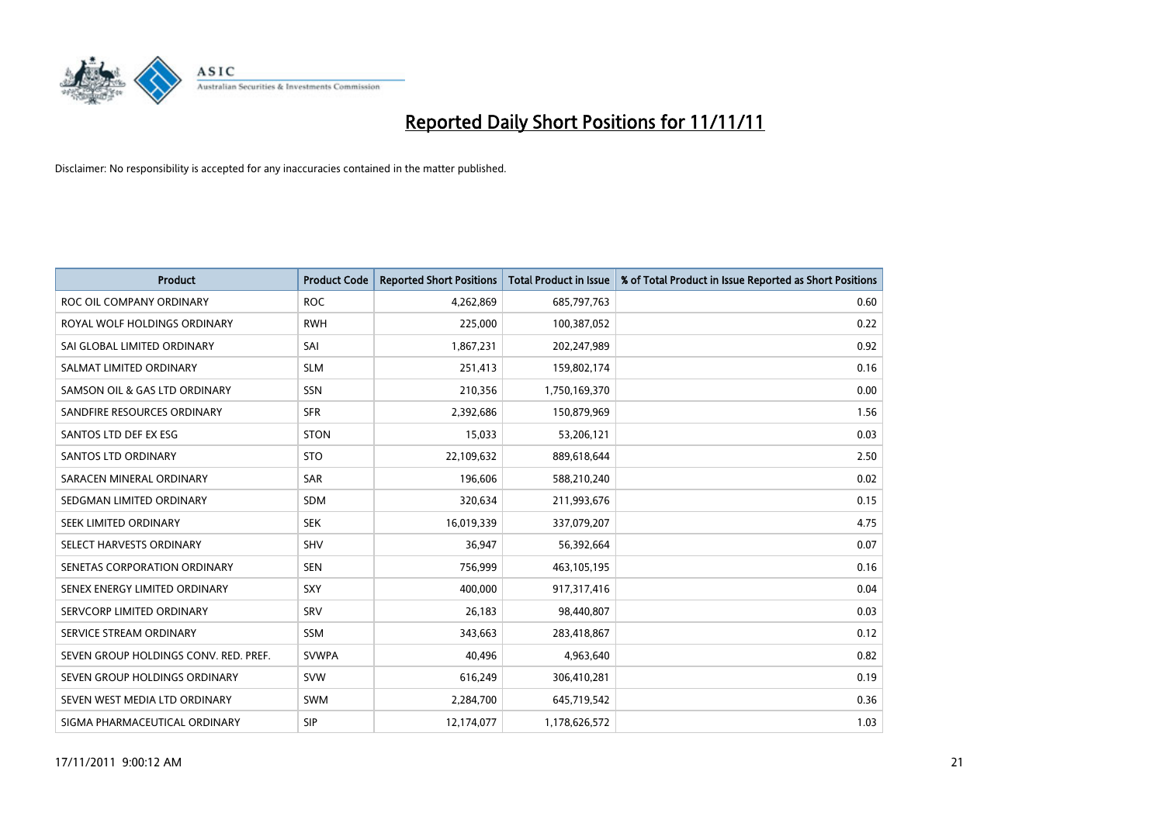

| <b>Product</b>                        | <b>Product Code</b> | <b>Reported Short Positions</b> | <b>Total Product in Issue</b> | % of Total Product in Issue Reported as Short Positions |
|---------------------------------------|---------------------|---------------------------------|-------------------------------|---------------------------------------------------------|
| ROC OIL COMPANY ORDINARY              | <b>ROC</b>          | 4,262,869                       | 685,797,763                   | 0.60                                                    |
| ROYAL WOLF HOLDINGS ORDINARY          | <b>RWH</b>          | 225,000                         | 100,387,052                   | 0.22                                                    |
| SAI GLOBAL LIMITED ORDINARY           | SAI                 | 1,867,231                       | 202,247,989                   | 0.92                                                    |
| SALMAT LIMITED ORDINARY               | <b>SLM</b>          | 251,413                         | 159,802,174                   | 0.16                                                    |
| SAMSON OIL & GAS LTD ORDINARY         | SSN                 | 210,356                         | 1,750,169,370                 | 0.00                                                    |
| SANDFIRE RESOURCES ORDINARY           | <b>SFR</b>          | 2,392,686                       | 150,879,969                   | 1.56                                                    |
| SANTOS LTD DEF EX ESG                 | <b>STON</b>         | 15,033                          | 53,206,121                    | 0.03                                                    |
| SANTOS LTD ORDINARY                   | <b>STO</b>          | 22,109,632                      | 889,618,644                   | 2.50                                                    |
| SARACEN MINERAL ORDINARY              | SAR                 | 196,606                         | 588,210,240                   | 0.02                                                    |
| SEDGMAN LIMITED ORDINARY              | <b>SDM</b>          | 320,634                         | 211,993,676                   | 0.15                                                    |
| <b>SEEK LIMITED ORDINARY</b>          | <b>SEK</b>          | 16,019,339                      | 337,079,207                   | 4.75                                                    |
| SELECT HARVESTS ORDINARY              | SHV                 | 36,947                          | 56,392,664                    | 0.07                                                    |
| SENETAS CORPORATION ORDINARY          | <b>SEN</b>          | 756,999                         | 463,105,195                   | 0.16                                                    |
| SENEX ENERGY LIMITED ORDINARY         | <b>SXY</b>          | 400.000                         | 917,317,416                   | 0.04                                                    |
| SERVCORP LIMITED ORDINARY             | SRV                 | 26,183                          | 98,440,807                    | 0.03                                                    |
| SERVICE STREAM ORDINARY               | <b>SSM</b>          | 343,663                         | 283,418,867                   | 0.12                                                    |
| SEVEN GROUP HOLDINGS CONV. RED. PREF. | <b>SVWPA</b>        | 40,496                          | 4,963,640                     | 0.82                                                    |
| SEVEN GROUP HOLDINGS ORDINARY         | <b>SVW</b>          | 616,249                         | 306,410,281                   | 0.19                                                    |
| SEVEN WEST MEDIA LTD ORDINARY         | <b>SWM</b>          | 2,284,700                       | 645,719,542                   | 0.36                                                    |
| SIGMA PHARMACEUTICAL ORDINARY         | <b>SIP</b>          | 12,174,077                      | 1,178,626,572                 | 1.03                                                    |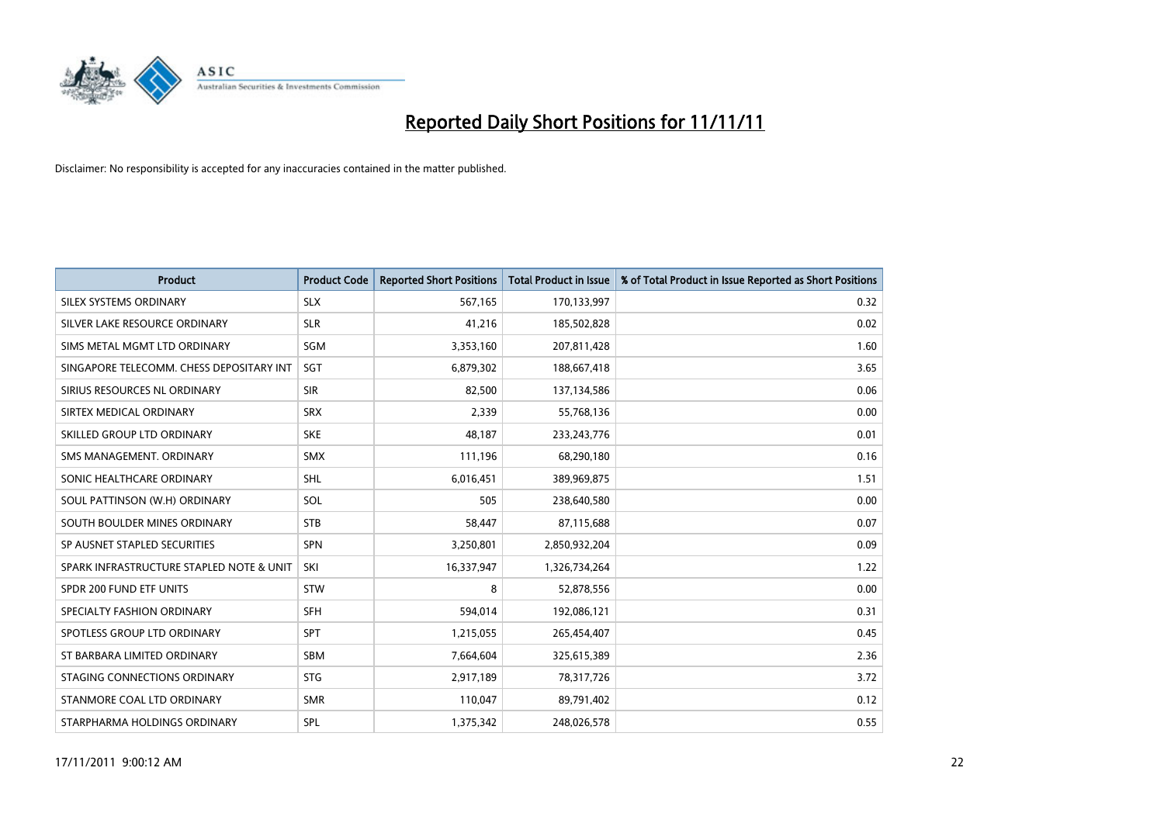

| <b>Product</b>                           | <b>Product Code</b> | <b>Reported Short Positions</b> | <b>Total Product in Issue</b> | % of Total Product in Issue Reported as Short Positions |
|------------------------------------------|---------------------|---------------------------------|-------------------------------|---------------------------------------------------------|
| SILEX SYSTEMS ORDINARY                   | <b>SLX</b>          | 567,165                         | 170,133,997                   | 0.32                                                    |
| SILVER LAKE RESOURCE ORDINARY            | <b>SLR</b>          | 41,216                          | 185,502,828                   | 0.02                                                    |
| SIMS METAL MGMT LTD ORDINARY             | SGM                 | 3,353,160                       | 207,811,428                   | 1.60                                                    |
| SINGAPORE TELECOMM. CHESS DEPOSITARY INT | <b>SGT</b>          | 6,879,302                       | 188,667,418                   | 3.65                                                    |
| SIRIUS RESOURCES NL ORDINARY             | <b>SIR</b>          | 82,500                          | 137,134,586                   | 0.06                                                    |
| SIRTEX MEDICAL ORDINARY                  | <b>SRX</b>          | 2,339                           | 55,768,136                    | 0.00                                                    |
| SKILLED GROUP LTD ORDINARY               | <b>SKE</b>          | 48,187                          | 233, 243, 776                 | 0.01                                                    |
| SMS MANAGEMENT. ORDINARY                 | <b>SMX</b>          | 111,196                         | 68,290,180                    | 0.16                                                    |
| SONIC HEALTHCARE ORDINARY                | <b>SHL</b>          | 6,016,451                       | 389,969,875                   | 1.51                                                    |
| SOUL PATTINSON (W.H) ORDINARY            | SOL                 | 505                             | 238,640,580                   | 0.00                                                    |
| SOUTH BOULDER MINES ORDINARY             | <b>STB</b>          | 58,447                          | 87,115,688                    | 0.07                                                    |
| SP AUSNET STAPLED SECURITIES             | <b>SPN</b>          | 3,250,801                       | 2,850,932,204                 | 0.09                                                    |
| SPARK INFRASTRUCTURE STAPLED NOTE & UNIT | SKI                 | 16,337,947                      | 1,326,734,264                 | 1.22                                                    |
| SPDR 200 FUND ETF UNITS                  | <b>STW</b>          | 8                               | 52,878,556                    | 0.00                                                    |
| SPECIALTY FASHION ORDINARY               | <b>SFH</b>          | 594,014                         | 192,086,121                   | 0.31                                                    |
| SPOTLESS GROUP LTD ORDINARY              | <b>SPT</b>          | 1,215,055                       | 265,454,407                   | 0.45                                                    |
| ST BARBARA LIMITED ORDINARY              | <b>SBM</b>          | 7,664,604                       | 325,615,389                   | 2.36                                                    |
| STAGING CONNECTIONS ORDINARY             | <b>STG</b>          | 2,917,189                       | 78,317,726                    | 3.72                                                    |
| STANMORE COAL LTD ORDINARY               | <b>SMR</b>          | 110,047                         | 89,791,402                    | 0.12                                                    |
| STARPHARMA HOLDINGS ORDINARY             | SPL                 | 1,375,342                       | 248,026,578                   | 0.55                                                    |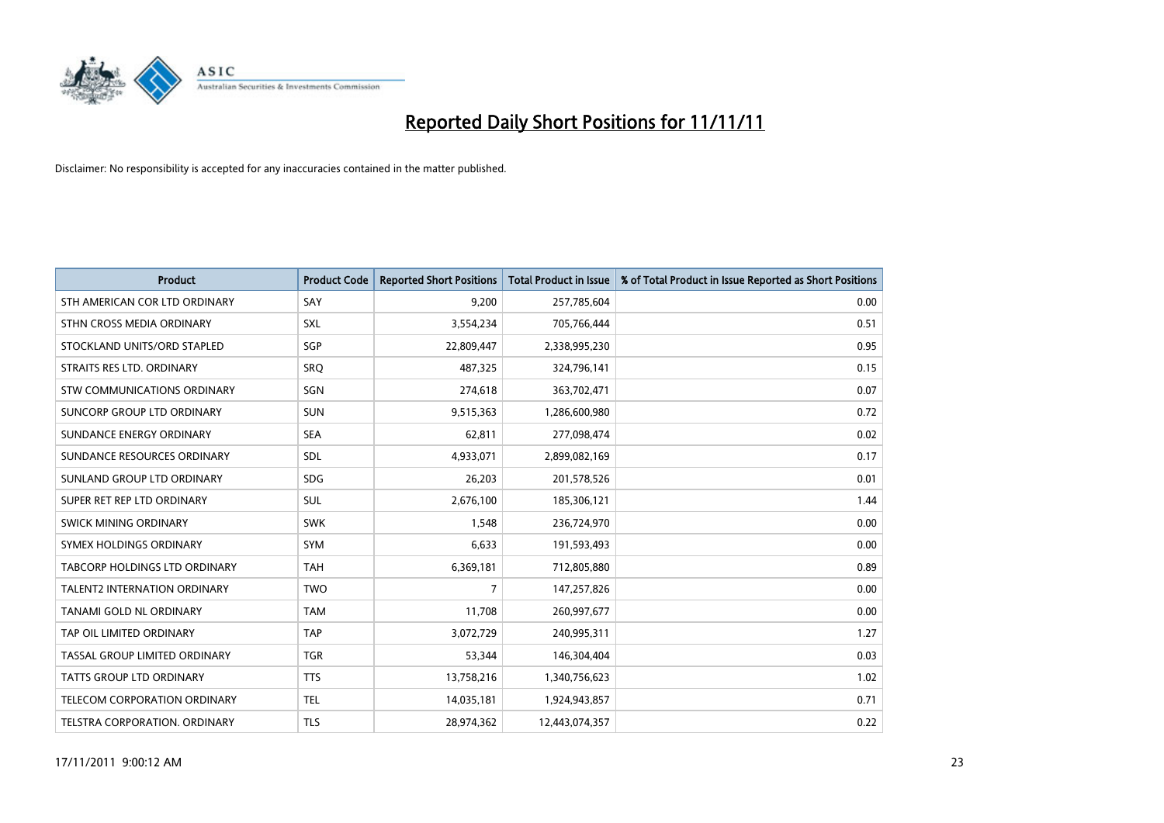

| <b>Product</b>                      | <b>Product Code</b> | <b>Reported Short Positions</b> | <b>Total Product in Issue</b> | % of Total Product in Issue Reported as Short Positions |
|-------------------------------------|---------------------|---------------------------------|-------------------------------|---------------------------------------------------------|
| STH AMERICAN COR LTD ORDINARY       | SAY                 | 9,200                           | 257,785,604                   | 0.00                                                    |
| STHN CROSS MEDIA ORDINARY           | <b>SXL</b>          | 3,554,234                       | 705,766,444                   | 0.51                                                    |
| STOCKLAND UNITS/ORD STAPLED         | SGP                 | 22,809,447                      | 2,338,995,230                 | 0.95                                                    |
| STRAITS RES LTD. ORDINARY           | SRQ                 | 487,325                         | 324,796,141                   | 0.15                                                    |
| STW COMMUNICATIONS ORDINARY         | SGN                 | 274,618                         | 363,702,471                   | 0.07                                                    |
| SUNCORP GROUP LTD ORDINARY          | <b>SUN</b>          | 9,515,363                       | 1,286,600,980                 | 0.72                                                    |
| SUNDANCE ENERGY ORDINARY            | <b>SEA</b>          | 62,811                          | 277,098,474                   | 0.02                                                    |
| SUNDANCE RESOURCES ORDINARY         | <b>SDL</b>          | 4,933,071                       | 2,899,082,169                 | 0.17                                                    |
| SUNLAND GROUP LTD ORDINARY          | <b>SDG</b>          | 26,203                          | 201,578,526                   | 0.01                                                    |
| SUPER RET REP LTD ORDINARY          | <b>SUL</b>          | 2,676,100                       | 185,306,121                   | 1.44                                                    |
| SWICK MINING ORDINARY               | <b>SWK</b>          | 1,548                           | 236,724,970                   | 0.00                                                    |
| SYMEX HOLDINGS ORDINARY             | <b>SYM</b>          | 6,633                           | 191,593,493                   | 0.00                                                    |
| TABCORP HOLDINGS LTD ORDINARY       | <b>TAH</b>          | 6,369,181                       | 712,805,880                   | 0.89                                                    |
| TALENT2 INTERNATION ORDINARY        | <b>TWO</b>          | 7                               | 147,257,826                   | 0.00                                                    |
| <b>TANAMI GOLD NL ORDINARY</b>      | <b>TAM</b>          | 11,708                          | 260,997,677                   | 0.00                                                    |
| TAP OIL LIMITED ORDINARY            | <b>TAP</b>          | 3,072,729                       | 240,995,311                   | 1.27                                                    |
| TASSAL GROUP LIMITED ORDINARY       | <b>TGR</b>          | 53,344                          | 146,304,404                   | 0.03                                                    |
| TATTS GROUP LTD ORDINARY            | <b>TTS</b>          | 13,758,216                      | 1,340,756,623                 | 1.02                                                    |
| <b>TELECOM CORPORATION ORDINARY</b> | <b>TEL</b>          | 14,035,181                      | 1,924,943,857                 | 0.71                                                    |
| TELSTRA CORPORATION. ORDINARY       | <b>TLS</b>          | 28,974,362                      | 12,443,074,357                | 0.22                                                    |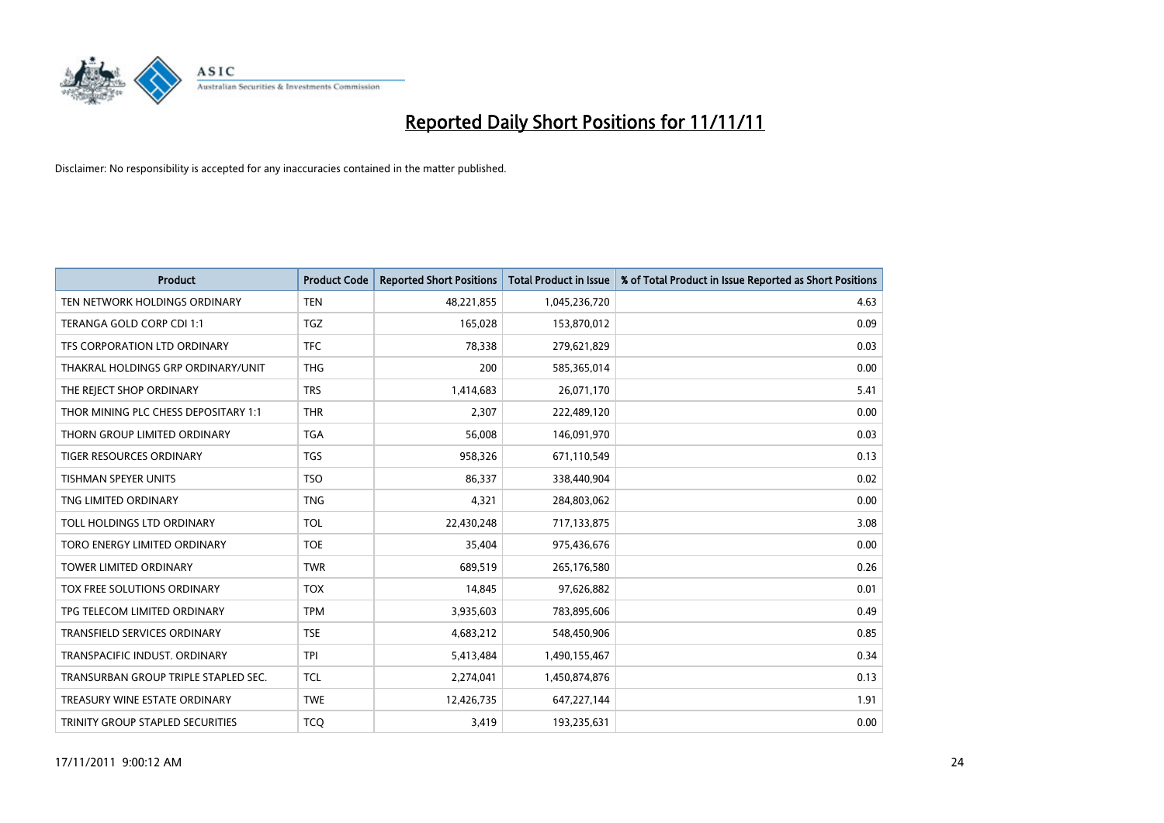

| <b>Product</b>                       | <b>Product Code</b> | <b>Reported Short Positions</b> | <b>Total Product in Issue</b> | % of Total Product in Issue Reported as Short Positions |
|--------------------------------------|---------------------|---------------------------------|-------------------------------|---------------------------------------------------------|
| TEN NETWORK HOLDINGS ORDINARY        | <b>TEN</b>          | 48,221,855                      | 1,045,236,720                 | 4.63                                                    |
| TERANGA GOLD CORP CDI 1:1            | <b>TGZ</b>          | 165,028                         | 153,870,012                   | 0.09                                                    |
| TFS CORPORATION LTD ORDINARY         | <b>TFC</b>          | 78,338                          | 279,621,829                   | 0.03                                                    |
| THAKRAL HOLDINGS GRP ORDINARY/UNIT   | <b>THG</b>          | 200                             | 585,365,014                   | 0.00                                                    |
| THE REJECT SHOP ORDINARY             | <b>TRS</b>          | 1,414,683                       | 26,071,170                    | 5.41                                                    |
| THOR MINING PLC CHESS DEPOSITARY 1:1 | <b>THR</b>          | 2,307                           | 222,489,120                   | 0.00                                                    |
| THORN GROUP LIMITED ORDINARY         | <b>TGA</b>          | 56,008                          | 146,091,970                   | 0.03                                                    |
| <b>TIGER RESOURCES ORDINARY</b>      | <b>TGS</b>          | 958,326                         | 671,110,549                   | 0.13                                                    |
| TISHMAN SPEYER UNITS                 | <b>TSO</b>          | 86,337                          | 338,440,904                   | 0.02                                                    |
| TNG LIMITED ORDINARY                 | <b>TNG</b>          | 4,321                           | 284,803,062                   | 0.00                                                    |
| TOLL HOLDINGS LTD ORDINARY           | <b>TOL</b>          | 22,430,248                      | 717,133,875                   | 3.08                                                    |
| TORO ENERGY LIMITED ORDINARY         | <b>TOE</b>          | 35,404                          | 975,436,676                   | 0.00                                                    |
| <b>TOWER LIMITED ORDINARY</b>        | <b>TWR</b>          | 689,519                         | 265,176,580                   | 0.26                                                    |
| <b>TOX FREE SOLUTIONS ORDINARY</b>   | <b>TOX</b>          | 14,845                          | 97,626,882                    | 0.01                                                    |
| TPG TELECOM LIMITED ORDINARY         | <b>TPM</b>          | 3,935,603                       | 783,895,606                   | 0.49                                                    |
| <b>TRANSFIELD SERVICES ORDINARY</b>  | <b>TSE</b>          | 4,683,212                       | 548,450,906                   | 0.85                                                    |
| TRANSPACIFIC INDUST, ORDINARY        | <b>TPI</b>          | 5,413,484                       | 1,490,155,467                 | 0.34                                                    |
| TRANSURBAN GROUP TRIPLE STAPLED SEC. | <b>TCL</b>          | 2,274,041                       | 1,450,874,876                 | 0.13                                                    |
| TREASURY WINE ESTATE ORDINARY        | <b>TWE</b>          | 12,426,735                      | 647,227,144                   | 1.91                                                    |
| TRINITY GROUP STAPLED SECURITIES     | <b>TCO</b>          | 3,419                           | 193,235,631                   | 0.00                                                    |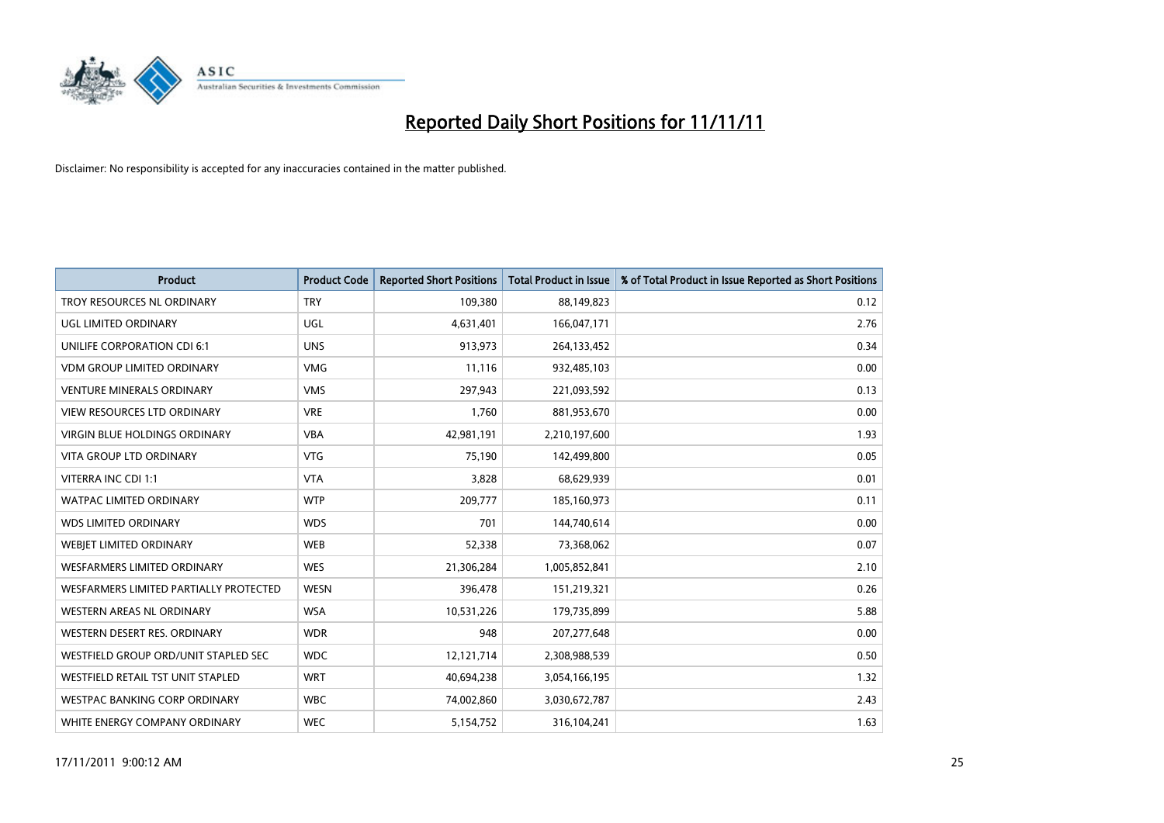

| <b>Product</b>                         | <b>Product Code</b> | <b>Reported Short Positions</b> | <b>Total Product in Issue</b> | % of Total Product in Issue Reported as Short Positions |
|----------------------------------------|---------------------|---------------------------------|-------------------------------|---------------------------------------------------------|
| TROY RESOURCES NL ORDINARY             | <b>TRY</b>          | 109,380                         | 88,149,823                    | 0.12                                                    |
| UGL LIMITED ORDINARY                   | UGL                 | 4,631,401                       | 166,047,171                   | 2.76                                                    |
| UNILIFE CORPORATION CDI 6:1            | <b>UNS</b>          | 913,973                         | 264,133,452                   | 0.34                                                    |
| <b>VDM GROUP LIMITED ORDINARY</b>      | <b>VMG</b>          | 11,116                          | 932,485,103                   | 0.00                                                    |
| <b>VENTURE MINERALS ORDINARY</b>       | <b>VMS</b>          | 297,943                         | 221,093,592                   | 0.13                                                    |
| <b>VIEW RESOURCES LTD ORDINARY</b>     | <b>VRE</b>          | 1,760                           | 881,953,670                   | 0.00                                                    |
| <b>VIRGIN BLUE HOLDINGS ORDINARY</b>   | <b>VBA</b>          | 42,981,191                      | 2,210,197,600                 | 1.93                                                    |
| <b>VITA GROUP LTD ORDINARY</b>         | <b>VTG</b>          | 75,190                          | 142,499,800                   | 0.05                                                    |
| VITERRA INC CDI 1:1                    | <b>VTA</b>          | 3,828                           | 68,629,939                    | 0.01                                                    |
| <b>WATPAC LIMITED ORDINARY</b>         | <b>WTP</b>          | 209,777                         | 185,160,973                   | 0.11                                                    |
| <b>WDS LIMITED ORDINARY</b>            | <b>WDS</b>          | 701                             | 144,740,614                   | 0.00                                                    |
| WEBIET LIMITED ORDINARY                | <b>WEB</b>          | 52,338                          | 73,368,062                    | 0.07                                                    |
| <b>WESFARMERS LIMITED ORDINARY</b>     | <b>WES</b>          | 21,306,284                      | 1,005,852,841                 | 2.10                                                    |
| WESFARMERS LIMITED PARTIALLY PROTECTED | <b>WESN</b>         | 396,478                         | 151,219,321                   | 0.26                                                    |
| WESTERN AREAS NL ORDINARY              | <b>WSA</b>          | 10,531,226                      | 179,735,899                   | 5.88                                                    |
| WESTERN DESERT RES. ORDINARY           | <b>WDR</b>          | 948                             | 207, 277, 648                 | 0.00                                                    |
| WESTFIELD GROUP ORD/UNIT STAPLED SEC   | <b>WDC</b>          | 12,121,714                      | 2,308,988,539                 | 0.50                                                    |
| WESTFIELD RETAIL TST UNIT STAPLED      | <b>WRT</b>          | 40,694,238                      | 3,054,166,195                 | 1.32                                                    |
| <b>WESTPAC BANKING CORP ORDINARY</b>   | <b>WBC</b>          | 74,002,860                      | 3,030,672,787                 | 2.43                                                    |
| WHITE ENERGY COMPANY ORDINARY          | <b>WEC</b>          | 5,154,752                       | 316,104,241                   | 1.63                                                    |